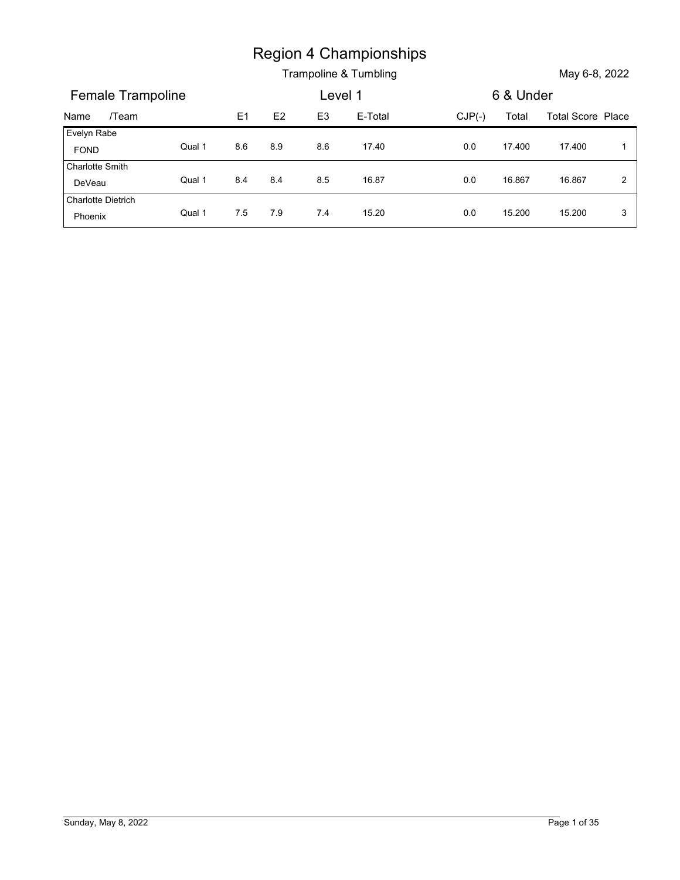|                                     |        |     |     | <b>Region 4 Championships</b> |          |           |                          |              |
|-------------------------------------|--------|-----|-----|-------------------------------|----------|-----------|--------------------------|--------------|
|                                     |        |     |     | Trampoline & Tumbling         |          |           | May 6-8, 2022            |              |
| Female Trampoline                   |        |     |     | Level 1                       |          | 6 & Under |                          |              |
| /Team<br>Name                       |        | E1  | E2  | E <sub>3</sub><br>E-Total     | $CJP(-)$ | Total     | <b>Total Score Place</b> |              |
| Evelyn Rabe<br><b>FOND</b>          | Qual 1 | 8.6 | 8.9 | 8.6<br>17.40                  | 0.0      | 17.400    | 17.400                   | $\mathbf{1}$ |
| Charlotte Smith                     |        |     |     |                               |          |           |                          |              |
| DeVeau<br><b>Charlotte Dietrich</b> | Qual 1 | 8.4 | 8.4 | 8.5<br>16.87                  | $0.0\,$  | 16.867    | 16.867                   | $\sqrt{2}$   |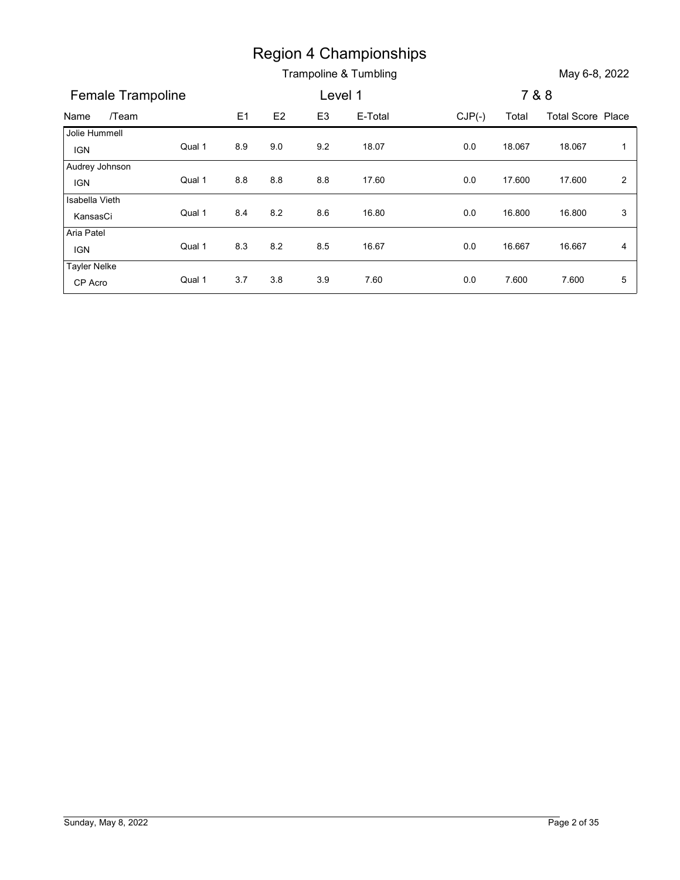|                          |        |     |               |                | <b>Region 4 Championships</b> |          |        |                          |                |
|--------------------------|--------|-----|---------------|----------------|-------------------------------|----------|--------|--------------------------|----------------|
|                          |        |     |               |                | Trampoline & Tumbling         |          |        | May 6-8, 2022            |                |
| Female Trampoline        |        |     |               | Level 1        |                               |          |        | 7 & 8                    |                |
| /Team<br>Name            |        | E1  | $\mathsf{E}2$ | E <sub>3</sub> | E-Total                       | $CJP(-)$ | Total  | <b>Total Score Place</b> |                |
| Jolie Hummell            |        |     |               |                |                               |          |        |                          |                |
| <b>IGN</b>               | Qual 1 | 8.9 | 9.0           | 9.2            | 18.07                         | $0.0\,$  | 18.067 | 18.067                   | $\overline{1}$ |
| Audrey Johnson           | Qual 1 |     |               |                |                               |          |        |                          |                |
| <b>IGN</b>               |        | 8.8 | 8.8           | 8.8            | 17.60                         | 0.0      | 17.600 | 17.600                   | $\overline{a}$ |
|                          | Qual 1 | 8.4 | 8.2           | 8.6            | 16.80                         | $0.0\,$  | 16.800 | 16.800                   | $\mathbf{3}$   |
| Isabella Vieth           |        |     |               |                |                               |          |        |                          |                |
| KansasCi                 |        |     | 8.2           | 8.5            | 16.67                         | 0.0      | 16.667 | 16.667                   | $\overline{4}$ |
| Aria Patel<br><b>IGN</b> | Qual 1 | 8.3 |               |                |                               |          |        |                          |                |
| <b>Tayler Nelke</b>      | Qual 1 | 3.7 | 3.8           | 3.9            | 7.60                          | 0.0      | 7.600  | 7.600                    | 5              |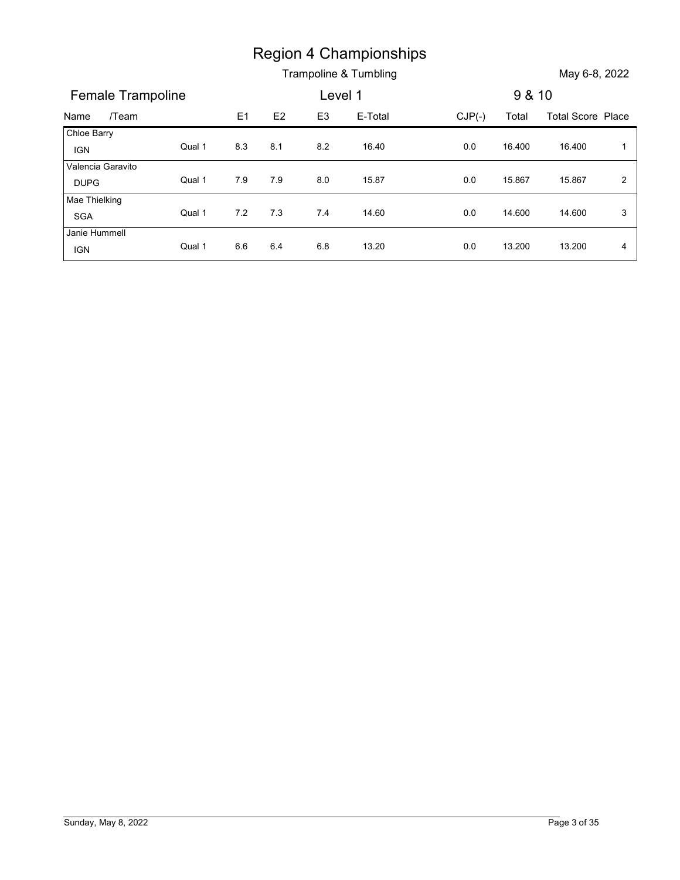|                                  |        |         |     |                | <b>Region 4 Championships</b> |          |        |                          |                |
|----------------------------------|--------|---------|-----|----------------|-------------------------------|----------|--------|--------------------------|----------------|
|                                  |        |         |     |                | Trampoline & Tumbling         |          |        | May 6-8, 2022            |                |
| Female Trampoline                |        |         |     | Level 1        |                               |          | 9 & 10 |                          |                |
| /Team<br>Name                    |        | E1      | E2  | E <sub>3</sub> | E-Total                       | $CJP(-)$ | Total  | <b>Total Score Place</b> |                |
|                                  |        |         |     |                |                               |          |        |                          |                |
| Chloe Barry<br><b>IGN</b>        | Qual 1 | 8.3     | 8.1 | $8.2\,$        | 16.40                         | $0.0\,$  | 16.400 | 16.400                   | $\overline{1}$ |
| Valencia Garavito<br><b>DUPG</b> | Qual 1 | 7.9     | 7.9 | 8.0            | 15.87                         | 0.0      | 15.867 | 15.867                   | $\overline{2}$ |
| Mae Thielking<br>SGA             | Qual 1 | $7.2\,$ | 7.3 | 7.4            | 14.60                         | $0.0\,$  | 14.600 | 14.600                   | 3              |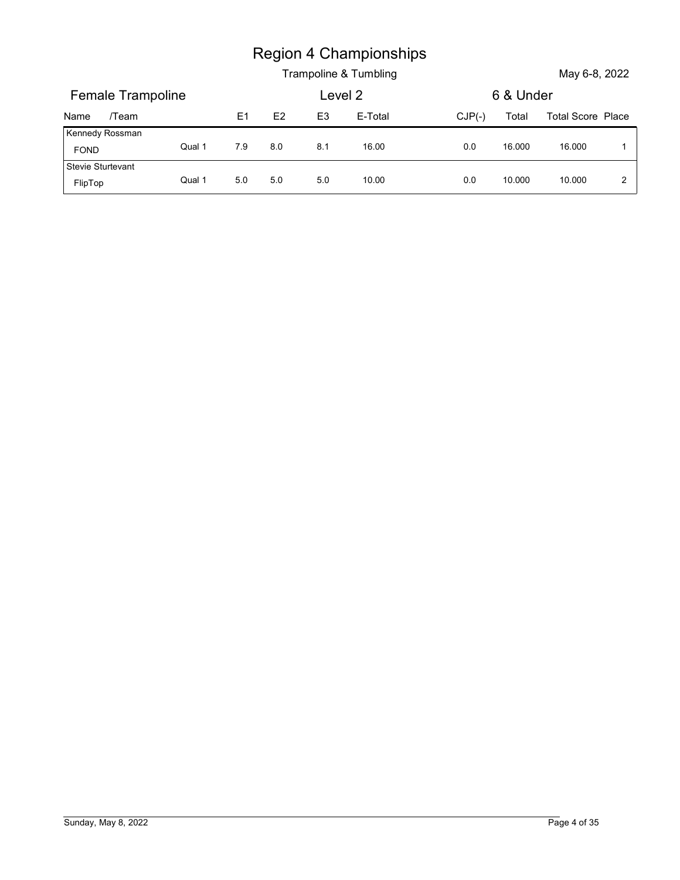|                                |        |     |         |                | <b>Region 4 Championships</b> |          |           |                   |                |
|--------------------------------|--------|-----|---------|----------------|-------------------------------|----------|-----------|-------------------|----------------|
|                                |        |     |         |                | Trampoline & Tumbling         |          |           | May 6-8, 2022     |                |
| Female Trampoline              |        |     |         | Level 2        |                               |          | 6 & Under |                   |                |
| /Team<br>Name                  |        | E1  | E2      | E <sub>3</sub> | E-Total                       | $CJP(-)$ | Total     | Total Score Place |                |
| Kennedy Rossman<br><b>FOND</b> | Qual 1 | 7.9 | $8.0\,$ | 8.1            | 16.00                         | 0.0      | 16.000    | 16.000            | $\overline{1}$ |
| Stevie Sturtevant<br>FlipTop   | Qual 1 | 5.0 | 5.0     | 5.0            | 10.00                         | 0.0      | 10.000    | 10.000            | $\overline{2}$ |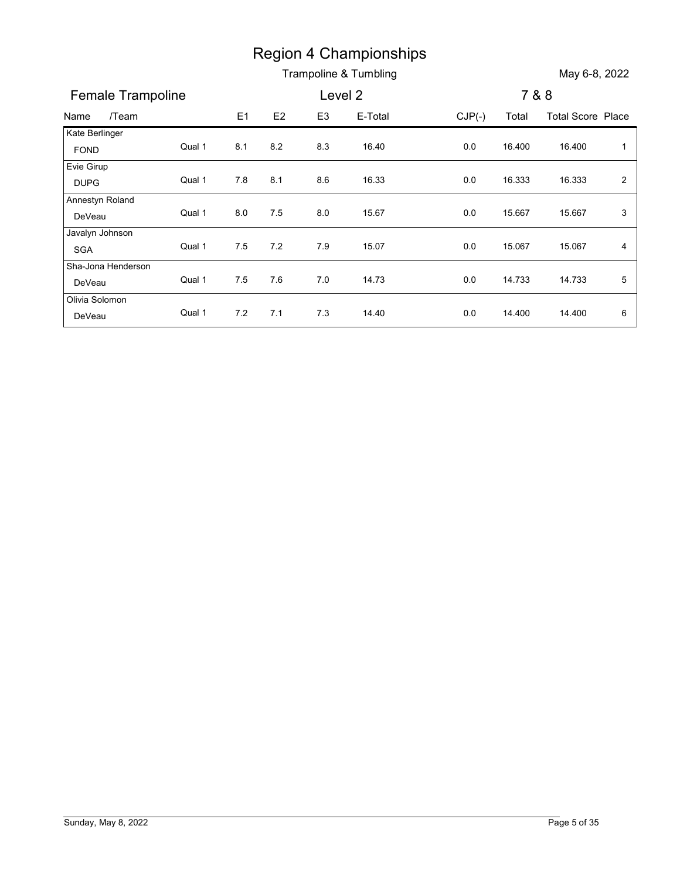|                           |        |     |               |                | <b>Region 4 Championships</b> |          |        |                          |                |
|---------------------------|--------|-----|---------------|----------------|-------------------------------|----------|--------|--------------------------|----------------|
|                           |        |     |               |                | Trampoline & Tumbling         |          |        | May 6-8, 2022            |                |
| Female Trampoline         |        |     |               | Level 2        |                               |          | 7 & 8  |                          |                |
| /Team<br>Name             |        | E1  | $\mathsf{E}2$ | E <sub>3</sub> | E-Total                       | $CJP(-)$ | Total  | <b>Total Score Place</b> |                |
| Kate Berlinger            |        |     |               |                |                               |          |        |                          |                |
| FOND                      | Qual 1 | 8.1 | 8.2           | 8.3            | 16.40                         | 0.0      | 16.400 | 16.400                   | $\overline{1}$ |
| Evie Girup                |        |     |               |                |                               |          |        |                          |                |
| <b>DUPG</b>               | Qual 1 | 7.8 | 8.1           | 8.6            | 16.33                         | 0.0      | 16.333 | 16.333                   | $\overline{a}$ |
| Annestyn Roland<br>DeVeau | Qual 1 | 8.0 | 7.5           | 8.0            | 15.67                         | 0.0      | 15.667 | 15.667                   | $\mathbf{3}$   |
| Javalyn Johnson           |        |     |               |                |                               |          |        |                          |                |
| SGA                       | Qual 1 | 7.5 | 7.2           | 7.9            | 15.07                         | 0.0      | 15.067 | 15.067                   | 4              |
| Sha-Jona Henderson        |        |     |               |                |                               |          |        |                          |                |
| DeVeau                    | Qual 1 | 7.5 | 7.6           | 7.0            | 14.73                         | $0.0\,$  | 14.733 | 14.733                   | 5              |
| Olivia Solomon            |        |     |               |                |                               |          |        |                          |                |
| DeVeau                    | Qual 1 | 7.2 | 7.1           | 7.3            | 14.40                         | 0.0      | 14.400 | 14.400                   | 6              |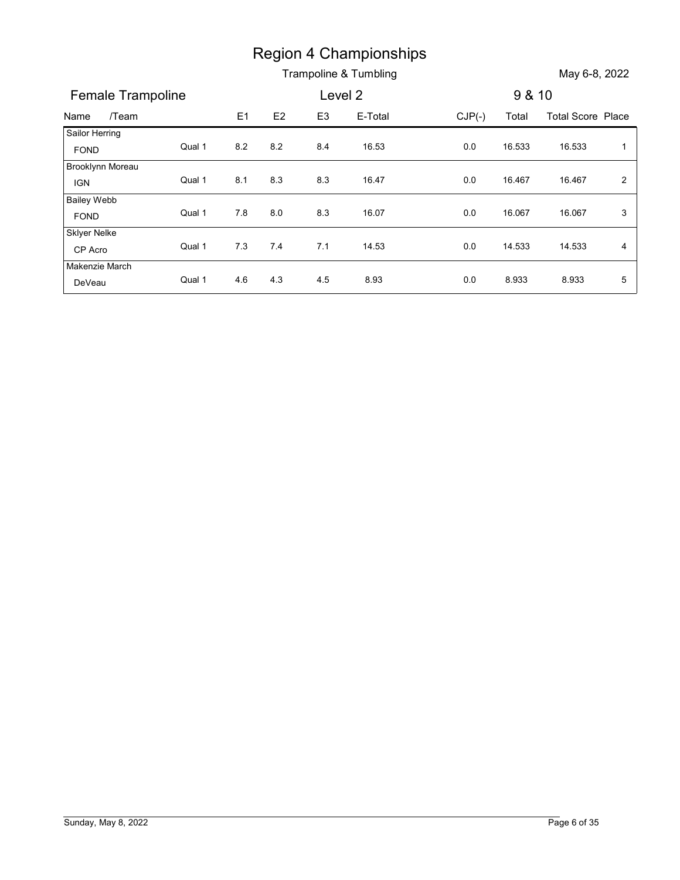|                                |        |     |         |                | <b>Region 4 Championships</b> |          |        |                          |                |
|--------------------------------|--------|-----|---------|----------------|-------------------------------|----------|--------|--------------------------|----------------|
|                                |        |     |         |                | Trampoline & Tumbling         |          |        | May 6-8, 2022            |                |
| Female Trampoline              |        |     |         |                | Level 2                       |          | 9 & 10 |                          |                |
| /Team<br>Name                  |        | E1  | E2      | E <sub>3</sub> | E-Total                       | $CJP(-)$ | Total  | <b>Total Score Place</b> |                |
| Sailor Herring                 | Qual 1 | 8.2 |         | 8.4            |                               |          |        |                          |                |
| FOND                           |        |     | $8.2\,$ |                | 16.53                         | $0.0\,$  | 16.533 | 16.533                   | $\mathbf{1}$   |
| Brooklynn Moreau<br><b>IGN</b> | Qual 1 | 8.1 | 8.3     | 8.3            | 16.47                         | 0.0      | 16.467 | 16.467                   | $\overline{c}$ |
| <b>Bailey Webb</b>             |        |     |         |                |                               |          |        |                          |                |
| FOND                           | Qual 1 | 7.8 | 8.0     | 8.3            | 16.07                         | $0.0\,$  | 16.067 | 16.067                   | $\mathbf{3}$   |
| <b>Sklyer Nelke</b>            |        |     |         |                |                               |          |        |                          |                |
| CP Acro                        | Qual 1 | 7.3 | 7.4     | 7.1            | 14.53                         | 0.0      | 14.533 | 14.533                   | 4              |
|                                | Qual 1 | 4.6 | 4.3     | 4.5            | 8.93                          | 0.0      | 8.933  | 8.933                    | 5              |
| Makenzie March<br>DeVeau       |        |     |         |                |                               |          |        |                          |                |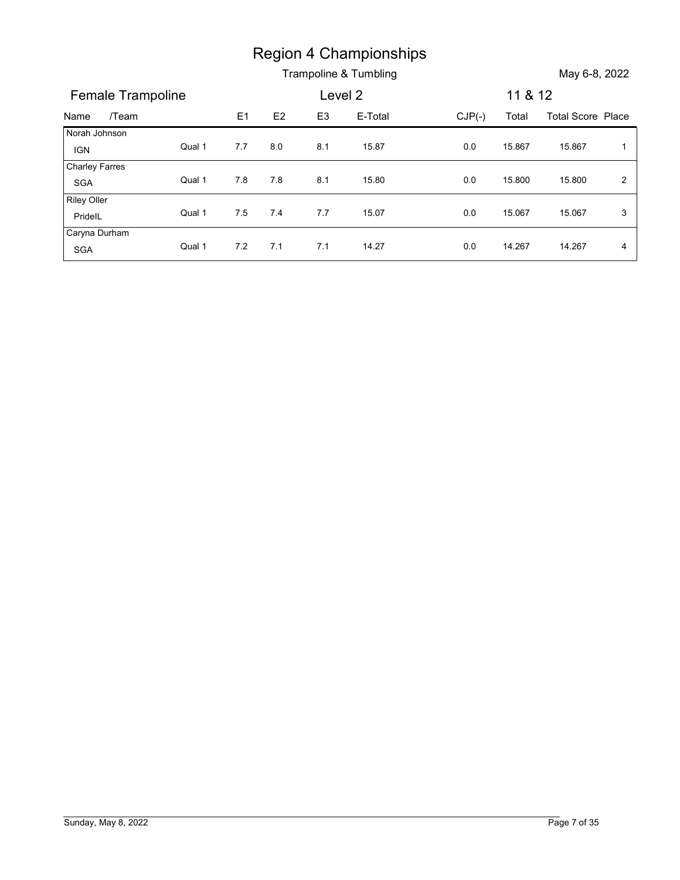|                              |        |                |         |                | Region 4 Championships |          |         |                          |                |
|------------------------------|--------|----------------|---------|----------------|------------------------|----------|---------|--------------------------|----------------|
|                              |        |                |         |                | Trampoline & Tumbling  |          |         | May 6-8, 2022            |                |
| Female Trampoline            |        |                |         |                | Level 2                |          | 11 & 12 |                          |                |
| /Team<br>Name                |        | E <sub>1</sub> | E2      | E <sub>3</sub> | E-Total                | $CJP(-)$ | Total   | <b>Total Score Place</b> |                |
| Norah Johnson                |        | 7.7            | $8.0\,$ | 8.1            | 15.87                  | $0.0\,$  | 15.867  | 15.867                   | $\mathbf{1}$   |
|                              |        |                |         |                |                        |          |         |                          |                |
| <b>IGN</b>                   | Qual 1 |                |         |                |                        |          |         |                          |                |
| <b>Charley Farres</b><br>SGA | Qual 1 | $7.8$          | $7.8$   | 8.1            | 15.80                  | 0.0      | 15.800  | 15.800                   | $\overline{2}$ |
| <b>Riley Oller</b>           |        |                |         |                |                        |          |         |                          |                |
| PridelL<br>Caryna Durham     | Qual 1 | $7.5\,$        | 7.4     | 7.7            | 15.07                  | $0.0\,$  | 15.067  | 15.067                   | 3              |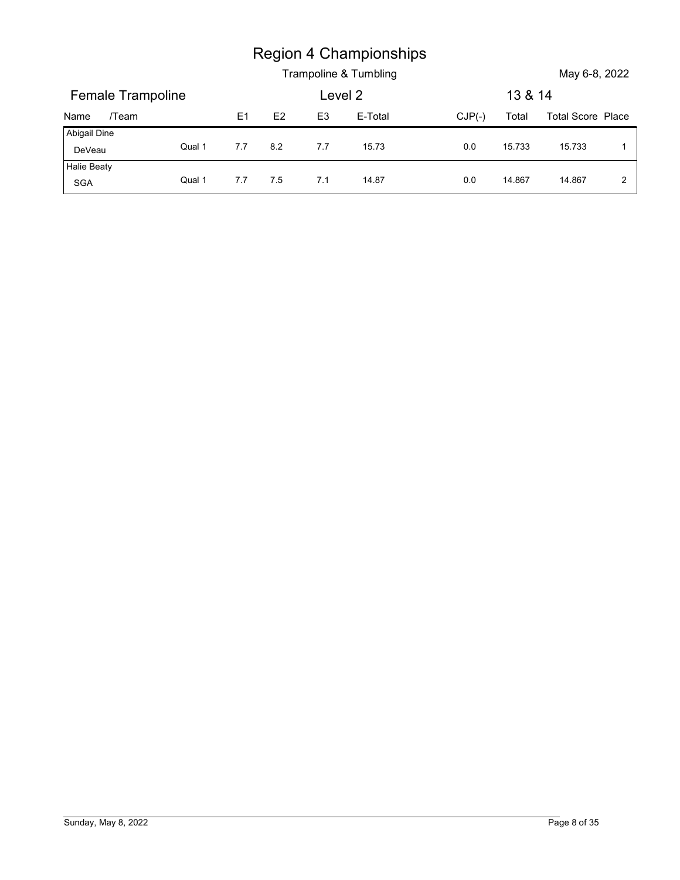|                          |        |     |     |                | <b>Region 4 Championships</b> |          |         |                   |              |
|--------------------------|--------|-----|-----|----------------|-------------------------------|----------|---------|-------------------|--------------|
|                          |        |     |     |                | Trampoline & Tumbling         |          |         | May 6-8, 2022     |              |
| <b>Female Trampoline</b> |        |     |     | Level 2        |                               |          | 13 & 14 |                   |              |
| /Team<br>Name            |        | E1  | E2  | E <sub>3</sub> | E-Total                       | $CJP(-)$ | Total   | Total Score Place |              |
| Abigail Dine<br>DeVeau   | Qual 1 | 7.7 | 8.2 | 7.7            | 15.73                         | 0.0      | 15.733  | 15.733            | $\mathbf{1}$ |
| Halie Beaty<br>SGA       | Qual 1 | 7.7 | 7.5 | 7.1            | 14.87                         | 0.0      | 14.867  | 14.867            | $\mathbf{2}$ |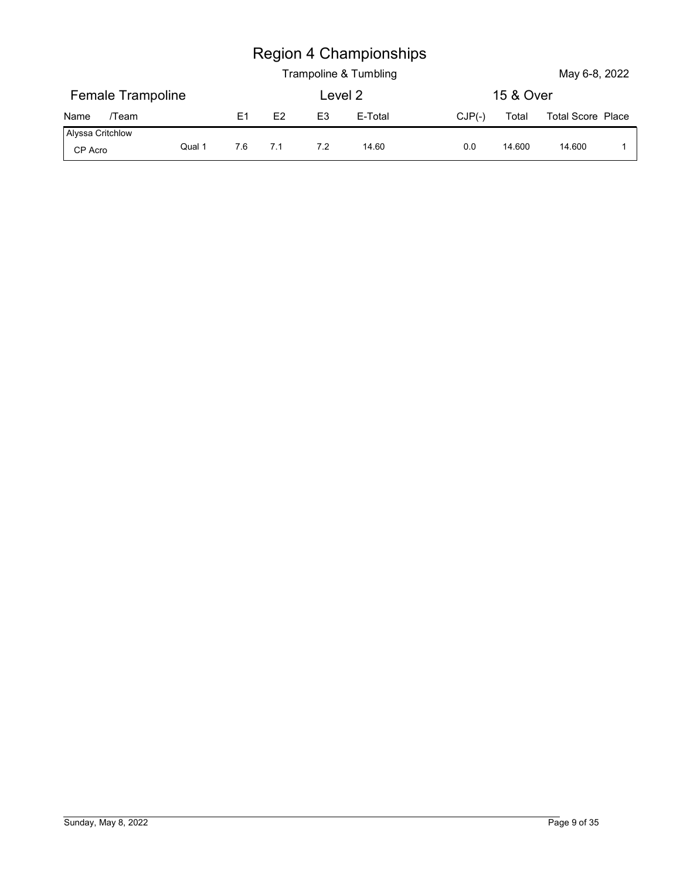|                             |        |         |     |                | <b>Region 4 Championships</b><br>Trampoline & Tumbling |          |           | May 6-8, 2022            |             |
|-----------------------------|--------|---------|-----|----------------|--------------------------------------------------------|----------|-----------|--------------------------|-------------|
| <b>Female Trampoline</b>    |        |         |     |                | Level 2                                                |          | 15 & Over |                          |             |
| /Team<br>Name               |        | E1      | E2  | E <sub>3</sub> | E-Total                                                | $CJP(-)$ | Total     | <b>Total Score Place</b> |             |
| Alyssa Critchlow<br>CP Acro | Qual 1 | $7.6\,$ | 7.1 | 7.2            | 14.60                                                  | 0.0      | 14.600    | 14.600                   | $\mathbf 1$ |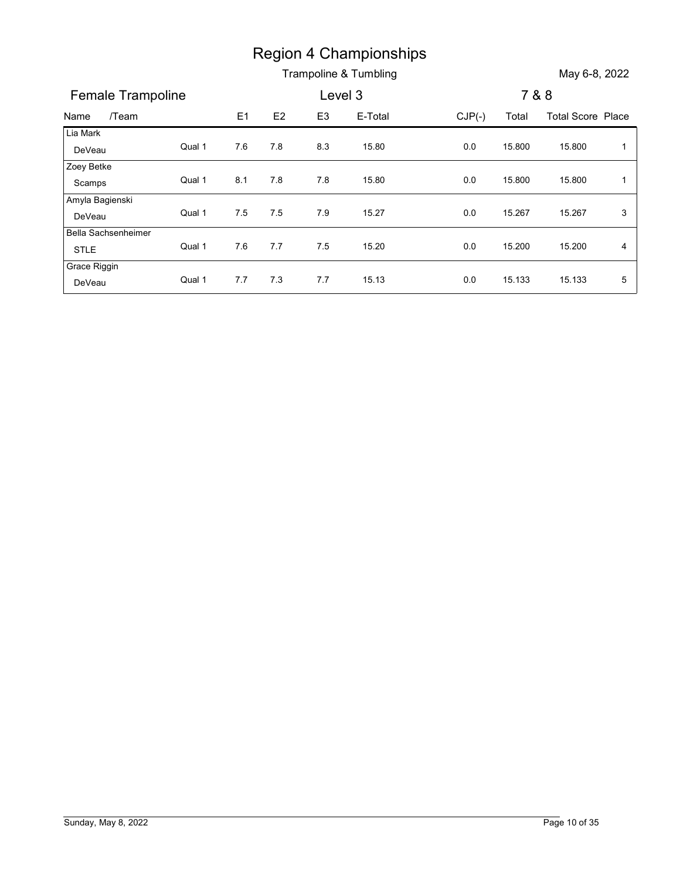|                        |        |     |       |                | <b>Region 4 Championships</b> |          |        |                          |              |
|------------------------|--------|-----|-------|----------------|-------------------------------|----------|--------|--------------------------|--------------|
|                        |        |     |       |                | Trampoline & Tumbling         |          |        | May 6-8, 2022            |              |
| Female Trampoline      |        |     |       |                | Level 3                       |          |        | 7 & 8                    |              |
| /Team<br>Name          |        |     |       |                |                               |          |        |                          |              |
| Lia Mark               |        | E1  | E2    | E <sub>3</sub> | E-Total                       | $CJP(-)$ | Total  | <b>Total Score Place</b> |              |
| DeVeau                 | Qual 1 | 7.6 | 7.8   | 8.3            | 15.80                         | $0.0\,$  | 15.800 | 15.800                   | $\mathbf{1}$ |
| Zoey Betke             |        |     |       |                |                               |          |        |                          |              |
| Scamps                 | Qual 1 | 8.1 | $7.8$ | 7.8            | 15.80                         | 0.0      | 15.800 | 15.800                   | $\mathbf{1}$ |
| Amyla Bagienski        |        |     |       | 7.9            |                               |          |        |                          |              |
| DeVeau                 | Qual 1 | 7.5 | 7.5   |                | 15.27                         | $0.0\,$  | 15.267 | 15.267                   | $\mathbf{3}$ |
| Bella Sachsenheimer    | Qual 1 | 7.6 | 7.7   | 7.5            | 15.20                         | 0.0      | 15.200 | 15.200                   | 4            |
| STLE                   |        |     |       |                |                               |          |        |                          |              |
|                        | Qual 1 | 7.7 | 7.3   | 7.7            | 15.13                         | 0.0      | 15.133 | 15.133                   | 5            |
| Grace Riggin<br>DeVeau |        |     |       |                |                               |          |        |                          |              |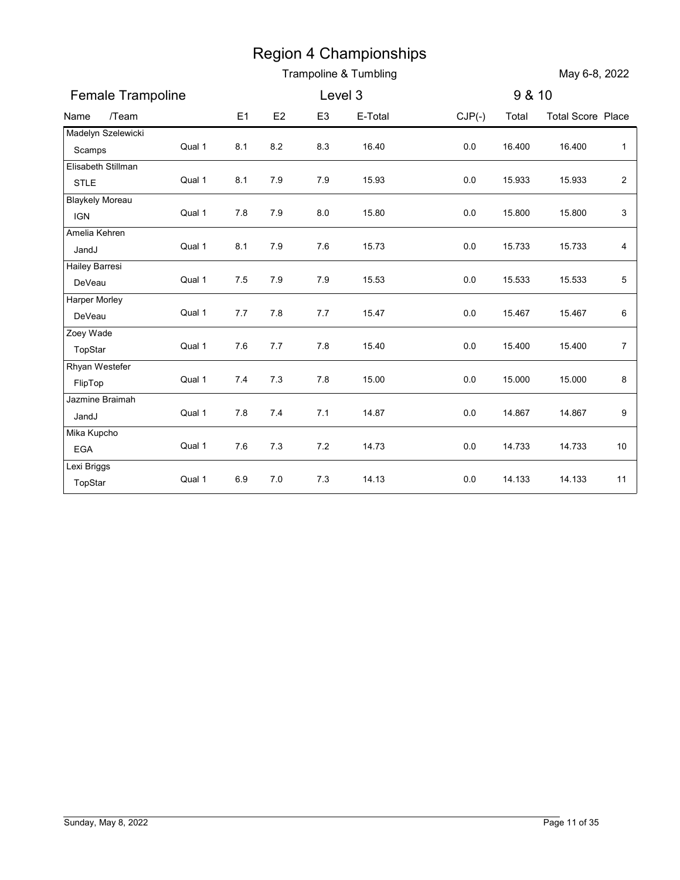|                                      |        |                |         |                | <b>Region 4 Championships</b> |          |        |                          |                         |
|--------------------------------------|--------|----------------|---------|----------------|-------------------------------|----------|--------|--------------------------|-------------------------|
|                                      |        |                |         |                | Trampoline & Tumbling         |          |        | May 6-8, 2022            |                         |
| Female Trampoline                    |        |                |         | Level 3        |                               |          | 9 & 10 |                          |                         |
| /Team<br>Name                        |        | E <sub>1</sub> | E2      | E <sub>3</sub> | E-Total                       | $CJP(-)$ | Total  | <b>Total Score Place</b> |                         |
| Madelyn Szelewicki<br>Scamps         | Qual 1 | 8.1            | $8.2\,$ | 8.3            | 16.40                         | $0.0\,$  | 16.400 | 16.400                   | $\mathbf{1}$            |
| Elisabeth Stillman                   |        |                |         |                |                               |          |        |                          |                         |
| <b>STLE</b>                          | Qual 1 | 8.1            | 7.9     | $7.9$          | 15.93                         | $0.0\,$  | 15.933 | 15.933                   | $\overline{\mathbf{c}}$ |
| <b>Blaykely Moreau</b><br><b>IGN</b> | Qual 1 | 7.8            | 7.9     | 8.0            | 15.80                         | 0.0      | 15.800 | 15.800                   | 3                       |
| Amelia Kehren                        |        |                |         |                |                               |          |        |                          |                         |
| JandJ                                | Qual 1 | 8.1            | 7.9     | 7.6            | 15.73                         | 0.0      | 15.733 | 15.733                   | 4                       |
| Hailey Barresi<br>DeVeau             | Qual 1 | 7.5            | 7.9     | $7.9$          | 15.53                         | 0.0      | 15.533 | 15.533                   | 5                       |
| Harper Morley                        | Qual 1 | 7.7            | 7.8     | 7.7            | 15.47                         | 0.0      | 15.467 | 15.467                   | 6                       |
| DeVeau<br>Zoey Wade                  |        |                |         |                |                               |          |        |                          |                         |
| TopStar                              | Qual 1 | $7.6$          | $7.7$   | $7.8$          | 15.40                         | $0.0\,$  | 15.400 | 15.400                   | $\overline{7}$          |
| Rhyan Westefer                       |        |                |         |                |                               |          |        |                          |                         |
| FlipTop                              | Qual 1 | 7.4            | $7.3$   | 7.8            | 15.00                         | $0.0\,$  | 15.000 | 15.000                   | 8                       |
| Jazmine Braimah                      |        |                |         |                |                               |          |        |                          |                         |
| JandJ                                | Qual 1 | $7.8$          | 7.4     | 7.1            | 14.87                         | $0.0\,$  | 14.867 | 14.867                   | 9                       |
| Mika Kupcho<br>EGA                   | Qual 1 | $7.6$          | 7.3     | $7.2\,$        | 14.73                         | $0.0\,$  | 14.733 | 14.733                   | 10                      |
| Lexi Briggs                          |        |                |         |                |                               |          |        |                          |                         |
| TopStar                              | Qual 1 | 6.9            | $7.0$   | 7.3            | 14.13                         | $0.0\,$  | 14.133 | 14.133                   | 11                      |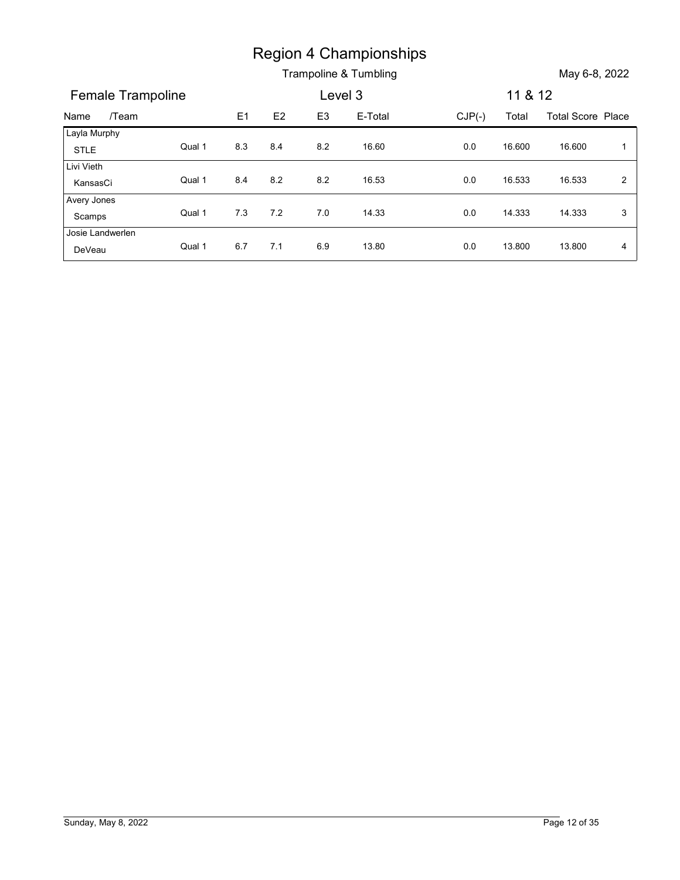|                             |        |     |       |                | <b>Region 4 Championships</b> |          |         |                          |                |
|-----------------------------|--------|-----|-------|----------------|-------------------------------|----------|---------|--------------------------|----------------|
|                             |        |     |       |                | Trampoline & Tumbling         |          |         | May 6-8, 2022            |                |
|                             |        |     |       |                |                               |          |         |                          |                |
| Female Trampoline           |        |     |       |                | Level 3                       |          | 11 & 12 |                          |                |
| /Team<br>Name               |        | E1  | E2    | E <sub>3</sub> | E-Total                       | $CJP(-)$ | Total   | <b>Total Score Place</b> |                |
| Layla Murphy<br><b>STLE</b> | Qual 1 | 8.3 | 8.4   | $8.2\,$        | 16.60                         | $0.0\,$  | 16.600  | 16.600                   | $\overline{1}$ |
| Livi Vieth<br>KansasCi      | Qual 1 | 8.4 | 8.2   | $8.2\,$        | 16.53                         | 0.0      | 16.533  | 16.533                   | $\overline{2}$ |
| Avery Jones<br>Scamps       | Qual 1 | 7.3 | $7.2$ | 7.0            | 14.33                         | $0.0\,$  | 14.333  | 14.333                   | 3              |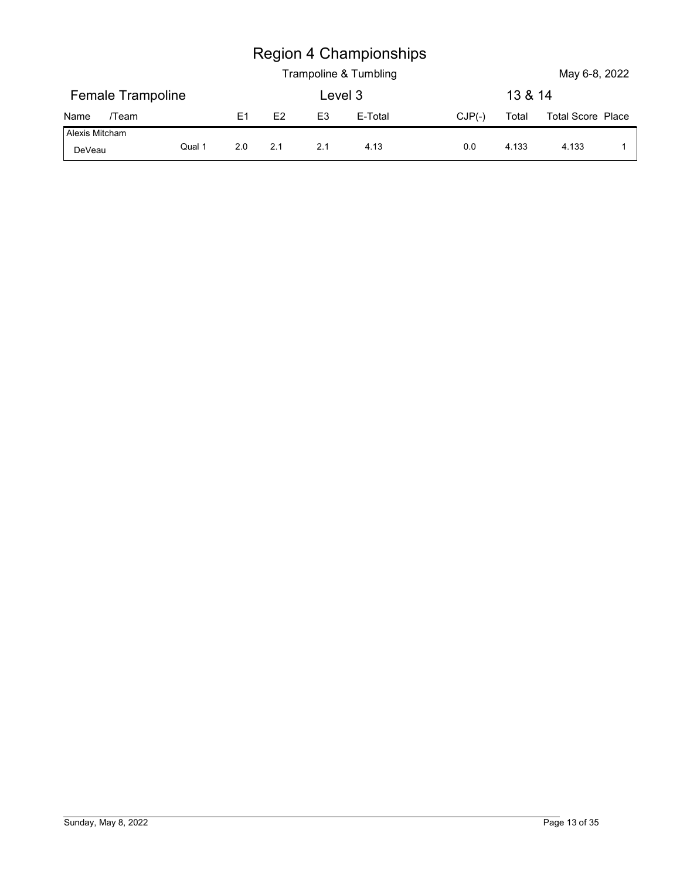|                          |        |                |     |                | <b>Region 4 Championships</b><br>Trampoline & Tumbling |          |         | May 6-8, 2022     |             |
|--------------------------|--------|----------------|-----|----------------|--------------------------------------------------------|----------|---------|-------------------|-------------|
| Female Trampoline        |        |                |     |                | Level 3                                                |          | 13 & 14 |                   |             |
| /Team<br>Name            |        | E <sub>1</sub> | E2  | E <sub>3</sub> | E-Total                                                | $CJP(-)$ | Total   | Total Score Place |             |
| Alexis Mitcham<br>DeVeau | Qual 1 | 2.0            | 2.1 | 2.1            | 4.13                                                   | 0.0      | 4.133   | 4.133             | $\mathbf 1$ |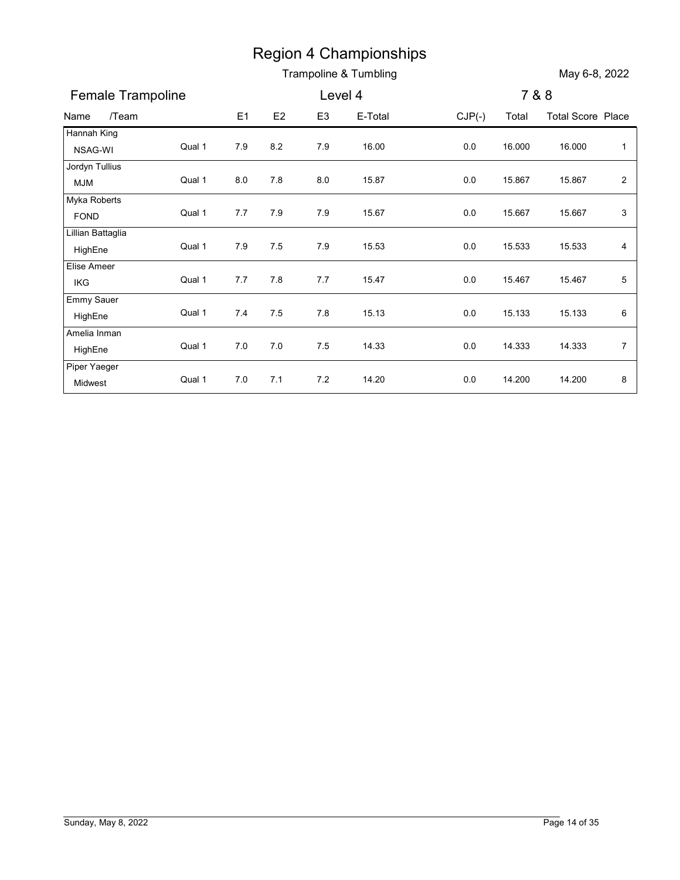|                              |        |       |       | <b>Region 4 Championships</b> | Trampoline & Tumbling |          |        | May 6-8, 2022            |                         |
|------------------------------|--------|-------|-------|-------------------------------|-----------------------|----------|--------|--------------------------|-------------------------|
| Female Trampoline            |        |       |       | Level 4                       |                       |          |        | 7 & 8                    |                         |
| /Team<br>Name                |        | E1    | E2    | E <sub>3</sub>                | E-Total               | $CJP(-)$ | Total  | <b>Total Score Place</b> |                         |
| Hannah King                  |        |       |       |                               |                       |          |        |                          |                         |
| NSAG-WI                      | Qual 1 | 7.9   | 8.2   | 7.9                           | 16.00                 | 0.0      | 16.000 | 16.000                   | $\mathbf{1}$            |
| Jordyn Tullius<br><b>MJM</b> | Qual 1 | 8.0   | 7.8   | 8.0                           | 15.87                 | 0.0      | 15.867 | 15.867                   | $\overline{\mathbf{c}}$ |
| Myka Roberts<br><b>FOND</b>  | Qual 1 | 7.7   | 7.9   | 7.9                           | 15.67                 | 0.0      | 15.667 | 15.667                   | 3                       |
| Lillian Battaglia<br>HighEne | Qual 1 | 7.9   | 7.5   | 7.9                           | 15.53                 | 0.0      | 15.533 | 15.533                   | 4                       |
| Elise Ameer                  |        |       |       |                               |                       |          |        |                          |                         |
| IKG                          | Qual 1 | 7.7   | 7.8   | $7.7$                         | 15.47                 | 0.0      | 15.467 | 15.467                   | 5                       |
| Emmy Sauer<br>HighEne        | Qual 1 | 7.4   | 7.5   | $7.8\,$                       | 15.13                 | 0.0      | 15.133 | 15.133                   | 6                       |
| Amelia Inman<br>HighEne      | Qual 1 | $7.0$ | $7.0$ | 7.5                           | 14.33                 | $0.0\,$  | 14.333 | 14.333                   | $\bf 7$                 |
| Piper Yaeger                 |        |       | 7.1   | 7.2                           | 14.20                 | 0.0      | 14.200 | 14.200                   | $\bf 8$                 |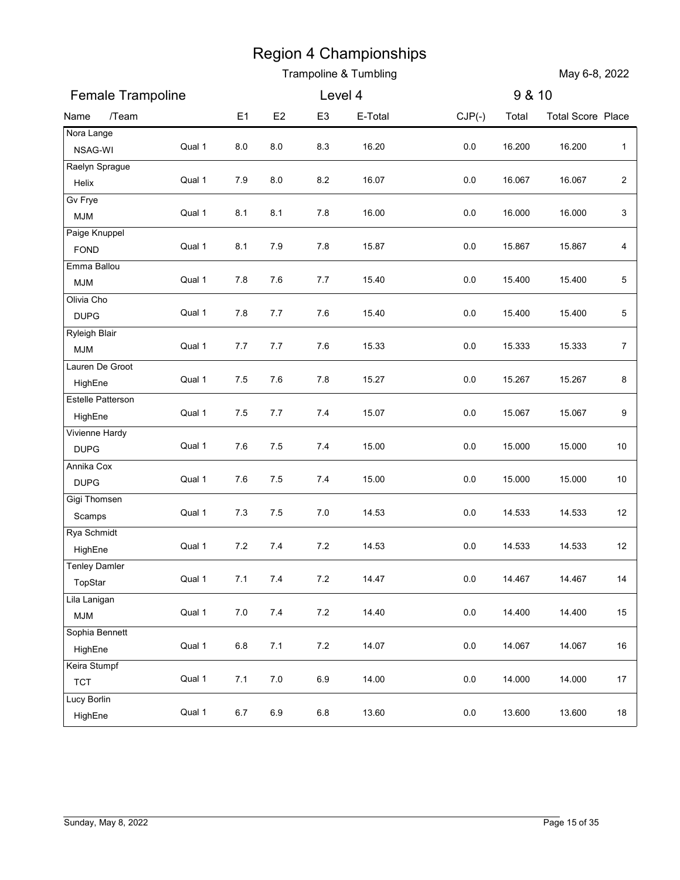|                               |        |                |         |                | Trampoline & Tumbling |          |        | May 6-8, 2022            |                  |
|-------------------------------|--------|----------------|---------|----------------|-----------------------|----------|--------|--------------------------|------------------|
| Female Trampoline             |        |                |         | Level 4        |                       |          | 9 & 10 |                          |                  |
| /Team<br>Name                 |        | E <sub>1</sub> | E2      | E <sub>3</sub> | E-Total               | $CJP(-)$ | Total  | <b>Total Score Place</b> |                  |
| Nora Lange<br>NSAG-WI         | Qual 1 | 8.0            | 8.0     | 8.3            | 16.20                 | 0.0      | 16.200 | 16.200                   | $\mathbf{1}$     |
| Raelyn Sprague                |        |                |         |                |                       |          |        |                          |                  |
| Helix                         | Qual 1 | 7.9            | $8.0\,$ | 8.2            | 16.07                 | 0.0      | 16.067 | 16.067                   | $\sqrt{2}$       |
| Gv Frye<br><b>MJM</b>         | Qual 1 | 8.1            | 8.1     | 7.8            | 16.00                 | 0.0      | 16.000 | 16.000                   | 3                |
| Paige Knuppel                 |        |                |         |                |                       |          |        |                          |                  |
| <b>FOND</b>                   | Qual 1 | 8.1            | 7.9     | 7.8            | 15.87                 | 0.0      | 15.867 | 15.867                   | 4                |
| Emma Ballou<br><b>MJM</b>     | Qual 1 | 7.8            | 7.6     | 7.7            | 15.40                 | 0.0      | 15.400 | 15.400                   | 5                |
| Olivia Cho                    |        |                |         |                |                       |          |        |                          |                  |
| <b>DUPG</b>                   | Qual 1 | 7.8            | 7.7     | 7.6            | 15.40                 | 0.0      | 15.400 | 15.400                   | 5                |
| Ryleigh Blair                 | Qual 1 | 7.7            | 7.7     | 7.6            | 15.33                 | 0.0      | 15.333 | 15.333                   | $\boldsymbol{7}$ |
| <b>MJM</b><br>Lauren De Groot |        |                |         |                |                       |          |        |                          |                  |
| HighEne                       | Qual 1 | 7.5            | 7.6     | 7.8            | 15.27                 | $0.0\,$  | 15.267 | 15.267                   | 8                |
| Estelle Patterson             |        |                |         |                |                       |          |        |                          |                  |
| HighEne                       | Qual 1 | 7.5            | $7.7$   | 7.4            | 15.07                 | $0.0\,$  | 15.067 | 15.067                   | 9                |
| Vivienne Hardy<br><b>DUPG</b> | Qual 1 | 7.6            | $7.5$   | 7.4            | 15.00                 | $0.0\,$  | 15.000 | 15.000                   | 10               |
| Annika Cox                    |        |                |         |                |                       |          |        |                          |                  |
| <b>DUPG</b>                   | Qual 1 | 7.6            | $7.5$   | 7.4            | 15.00                 | $0.0\,$  | 15.000 | 15.000                   | 10               |
| Gigi Thomsen                  | Qual 1 | 7.3            | 7.5     | 7.0            | 14.53                 | $0.0\,$  | 14.533 | 14.533                   | 12               |
| Scamps<br>Rya Schmidt         |        |                |         |                |                       |          |        |                          |                  |
| HighEne                       | Qual 1 | $7.2\,$        | 7.4     | 7.2            | 14.53                 | $0.0\,$  | 14.533 | 14.533                   | 12               |
| <b>Tenley Damler</b>          |        |                |         |                |                       |          |        |                          |                  |
| TopStar                       | Qual 1 | 7.1            | 7.4     | 7.2            | 14.47                 | $0.0\,$  | 14.467 | 14.467                   | 14               |
| Lila Lanigan<br><b>MJM</b>    | Qual 1 | $7.0$          | $7.4$   | $7.2\,$        | 14.40                 | $0.0\,$  | 14.400 | 14.400                   | 15               |
| Sophia Bennett                |        |                |         |                |                       |          |        |                          |                  |
| HighEne                       | Qual 1 | $6.8\,$        | 7.1     | $7.2\,$        | 14.07                 | $0.0\,$  | 14.067 | 14.067                   | 16               |
| Keira Stumpf                  | Qual 1 | 7.1            | $7.0\,$ | 6.9            | 14.00                 | $0.0\,$  | 14.000 | 14.000                   | 17               |
| <b>TCT</b><br>Lucy Borlin     |        |                |         |                |                       |          |        |                          |                  |
| HighEne                       | Qual 1 | $6.7\,$        | 6.9     | $6.8\,$        | 13.60                 | $0.0\,$  | 13.600 | 13.600                   | 18               |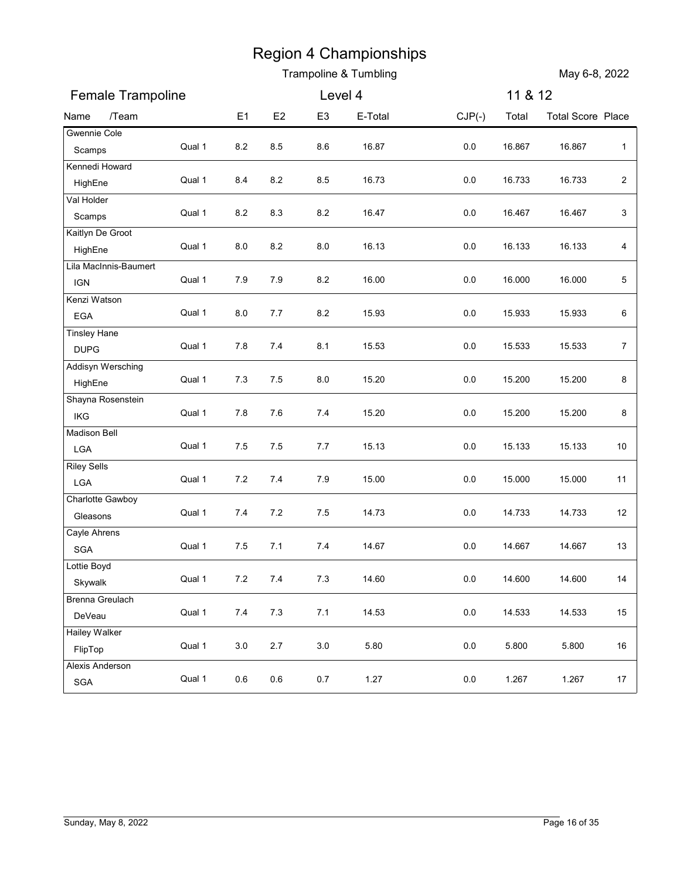|                                         |        |                |         |                | Trampoline & Tumbling |          |         | May 6-8, 2022            |                |
|-----------------------------------------|--------|----------------|---------|----------------|-----------------------|----------|---------|--------------------------|----------------|
| Female Trampoline                       |        |                |         | Level 4        |                       |          | 11 & 12 |                          |                |
| /Team<br>Name                           |        | E <sub>1</sub> | E2      | E <sub>3</sub> | E-Total               | $CJP(-)$ | Total   | <b>Total Score Place</b> |                |
| Gwennie Cole<br>Scamps                  | Qual 1 | 8.2            | 8.5     | 8.6            | 16.87                 | 0.0      | 16.867  | 16.867                   | $\mathbf{1}$   |
| Kennedi Howard<br>HighEne<br>Val Holder | Qual 1 | 8.4            | 8.2     | 8.5            | 16.73                 | 0.0      | 16.733  | 16.733                   | $\sqrt{2}$     |
| Scamps<br>Kaitlyn De Groot              | Qual 1 | 8.2            | 8.3     | 8.2            | 16.47                 | 0.0      | 16.467  | 16.467                   | 3              |
| HighEne<br>Lila MacInnis-Baumert        | Qual 1 | 8.0            | 8.2     | 8.0            | 16.13                 | 0.0      | 16.133  | 16.133                   | 4              |
| <b>IGN</b><br>Kenzi Watson              | Qual 1 | 7.9            | 7.9     | 8.2            | 16.00                 | 0.0      | 16.000  | 16.000                   | 5              |
| EGA<br><b>Tinsley Hane</b>              | Qual 1 | 8.0            | 7.7     | 8.2            | 15.93                 | 0.0      | 15.933  | 15.933                   | 6              |
| <b>DUPG</b><br>Addisyn Wersching        | Qual 1 | 7.8            | $7.4$   | 8.1            | 15.53                 | 0.0      | 15.533  | 15.533                   | $\overline{7}$ |
| HighEne<br>Shayna Rosenstein            | Qual 1 | 7.3            | $7.5$   | 8.0            | 15.20                 | 0.0      | 15.200  | 15.200                   | 8              |
| IKG<br><b>Madison Bell</b>              | Qual 1 | 7.8            | 7.6     | 7.4            | 15.20                 | 0.0      | 15.200  | 15.200                   | 8              |
| ${\sf LGA}$<br><b>Riley Sells</b>       | Qual 1 | $7.5$          | 7.5     | 7.7            | 15.13                 | 0.0      | 15.133  | 15.133                   | 10             |
| LGA<br>Charlotte Gawboy                 | Qual 1 | 7.2            | $7.4$   | 7.9            | 15.00                 | $0.0\,$  | 15.000  | 15.000                   | 11             |
| Gleasons<br>Cayle Ahrens                | Qual 1 | 7.4            | 7.2     | 7.5            | 14.73                 | $0.0\,$  | 14.733  | 14.733                   | 12             |
| SGA<br>Lottie Boyd                      | Qual 1 | $7.5$          | 7.1     | 7.4            | 14.67                 | $0.0\,$  | 14.667  | 14.667                   | 13             |
| Skywalk<br>Brenna Greulach              | Qual 1 | $7.2$          | $7.4$   | 7.3            | 14.60                 | $0.0\,$  | 14.600  | 14.600                   | 14             |
| DeVeau<br><b>Hailey Walker</b>          | Qual 1 | 7.4            | $7.3$   | 7.1            | 14.53                 | $0.0\,$  | 14.533  | 14.533                   | 15             |
| FlipTop<br>Alexis Anderson              | Qual 1 | $3.0\,$        | $2.7\,$ | 3.0            | 5.80                  | 0.0      | 5.800   | 5.800                    | 16             |
| SGA                                     | Qual 1 | $0.6\,$        | $0.6\,$ | $0.7\,$        | 1.27                  | $0.0\,$  | 1.267   | 1.267                    | 17             |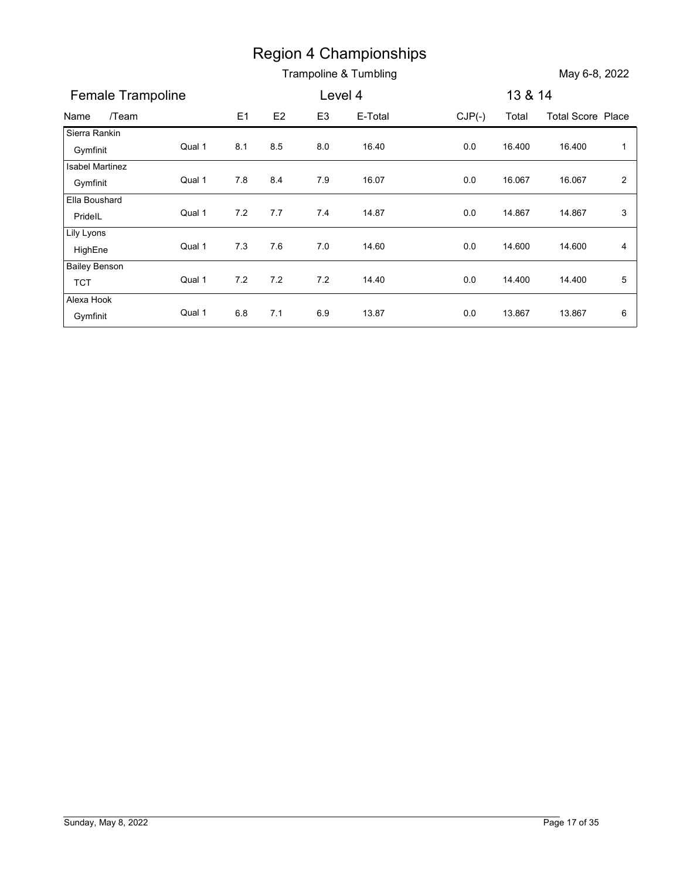|                        |        |       |               |                | <b>Region 4 Championships</b> |          |         |                          |                |
|------------------------|--------|-------|---------------|----------------|-------------------------------|----------|---------|--------------------------|----------------|
|                        |        |       |               |                | Trampoline & Tumbling         |          |         | May 6-8, 2022            |                |
| Female Trampoline      |        |       |               | Level 4        |                               |          | 13 & 14 |                          |                |
| /Team<br>Name          |        | E1    | $\mathsf{E}2$ | E <sub>3</sub> | E-Total                       | $CJP(-)$ | Total   | <b>Total Score Place</b> |                |
| Sierra Rankin          |        |       |               |                |                               |          |         |                          |                |
| Gymfinit               | Qual 1 | 8.1   | 8.5           | 8.0            | 16.40                         | 0.0      | 16.400  | 16.400                   | $\overline{1}$ |
| <b>Isabel Martinez</b> |        |       |               |                |                               |          |         |                          |                |
| Gymfinit               | Qual 1 | 7.8   | 8.4           | 7.9            | 16.07                         | 0.0      | 16.067  | 16.067                   | $\overline{2}$ |
| Ella Boushard          | Qual 1 | $7.2$ | 7.7           | 7.4            | 14.87                         | 0.0      | 14.867  | 14.867                   | $\mathbf{3}$   |
| PridelL<br>Lily Lyons  |        |       |               |                |                               |          |         |                          |                |
| HighEne                | Qual 1 | 7.3   | 7.6           | 7.0            | 14.60                         | $0.0\,$  | 14.600  | 14.600                   | 4              |
| <b>Bailey Benson</b>   |        |       |               |                |                               |          |         |                          |                |
| <b>TCT</b>             | Qual 1 | $7.2$ | 7.2           | 7.2            | 14.40                         | $0.0\,$  | 14.400  | 14.400                   | 5              |
| Alexa Hook             |        |       |               |                |                               |          |         |                          |                |
| Gymfinit               | Qual 1 | 6.8   | 7.1           | 6.9            | 13.87                         | $0.0\,$  | 13.867  | 13.867                   | 6              |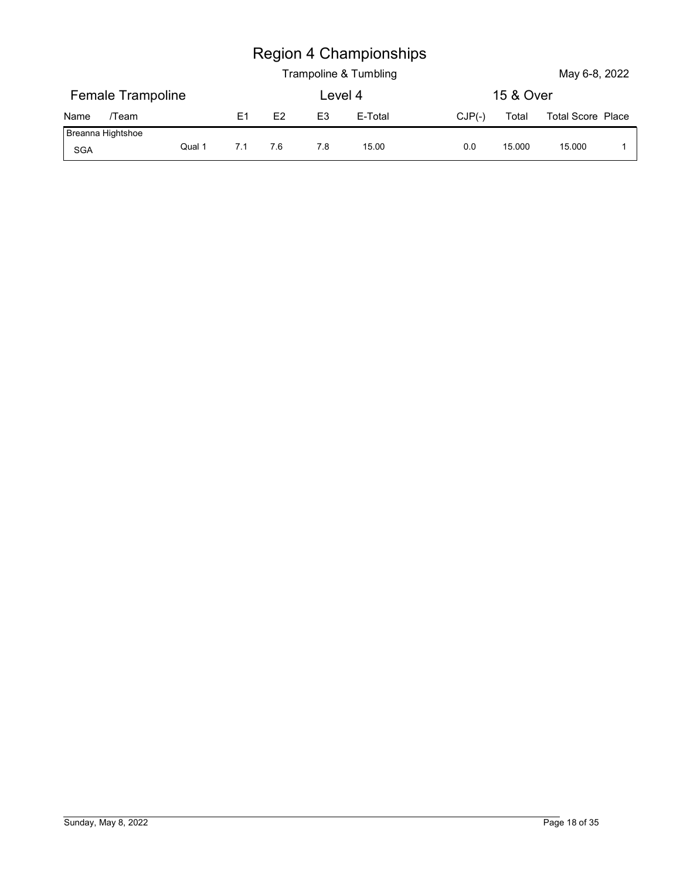|                          |        |     |     |                | <b>Region 4 Championships</b> |          |           |                          |             |
|--------------------------|--------|-----|-----|----------------|-------------------------------|----------|-----------|--------------------------|-------------|
|                          |        |     |     |                | Trampoline & Tumbling         |          |           | May 6-8, 2022            |             |
| <b>Female Trampoline</b> |        |     |     |                | Level 4                       |          | 15 & Over |                          |             |
| Name<br>/Team            |        | E1  | E2  | E <sub>3</sub> | E-Total                       | $CJP(-)$ | Total     | <b>Total Score Place</b> |             |
| Breanna Hightshoe<br>SGA | Qual 1 | 7.1 | 7.6 | 7.8            | 15.00                         | 0.0      | 15.000    | 15.000                   | $\mathbf 1$ |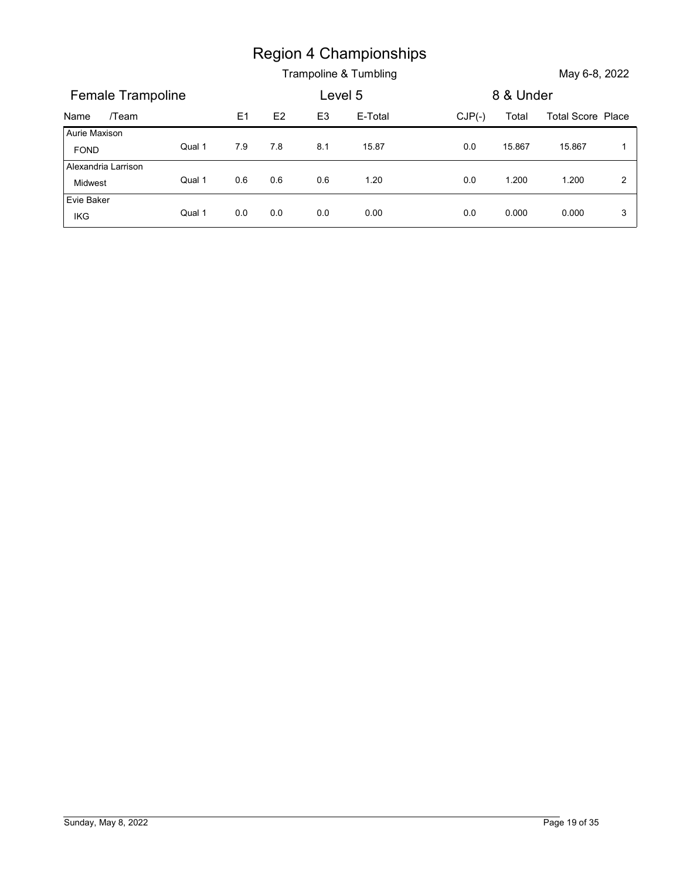|                       |        |     |     |                | <b>Region 4 Championships</b><br>Trampoline & Tumbling |          |           | May 6-8, 2022            |                |
|-----------------------|--------|-----|-----|----------------|--------------------------------------------------------|----------|-----------|--------------------------|----------------|
| Female Trampoline     |        |     |     | Level 5        |                                                        |          | 8 & Under |                          |                |
| /Team<br>Name         |        | E1  | E2  | E <sub>3</sub> | E-Total                                                | $CJP(-)$ | Total     | <b>Total Score Place</b> |                |
| Aurie Maxison<br>FOND | Qual 1 | 7.9 | 7.8 | 8.1            | 15.87                                                  | 0.0      | 15.867    | 15.867                   | $\overline{1}$ |
| Alexandria Larrison   |        |     |     |                |                                                        |          |           |                          |                |
| Midwest<br>Evie Baker | Qual 1 | 0.6 | 0.6 | 0.6            | 1.20                                                   | $0.0\,$  | 1.200     | 1.200                    | $\overline{2}$ |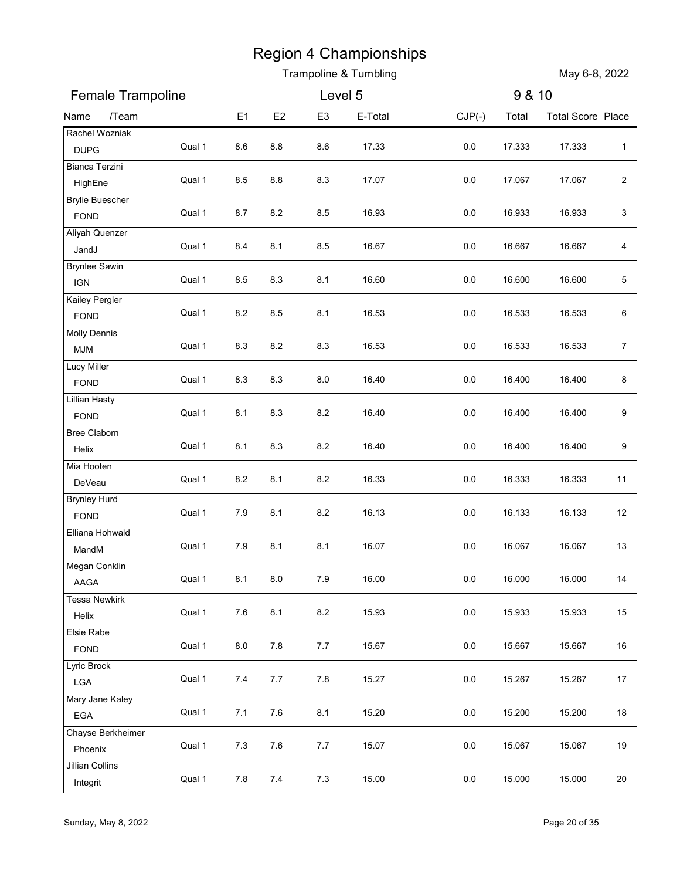|                               |        |                |         |                | Trampoline & Tumbling |          |        | May 6-8, 2022            |                |
|-------------------------------|--------|----------------|---------|----------------|-----------------------|----------|--------|--------------------------|----------------|
| Female Trampoline             |        |                |         | Level 5        |                       |          | 9 & 10 |                          |                |
| /Team<br>Name                 |        | E <sub>1</sub> | E2      | E <sub>3</sub> | E-Total               | $CJP(-)$ | Total  | <b>Total Score Place</b> |                |
| Rachel Wozniak<br><b>DUPG</b> | Qual 1 | 8.6            | 8.8     | 8.6            | 17.33                 | 0.0      | 17.333 | 17.333                   | $\mathbf{1}$   |
| Bianca Terzini                |        |                |         |                |                       |          |        |                          |                |
| HighEne                       | Qual 1 | 8.5            | 8.8     | 8.3            | 17.07                 | $0.0\,$  | 17.067 | 17.067                   | $\sqrt{2}$     |
| <b>Brylie Buescher</b>        | Qual 1 | 8.7            | 8.2     | 8.5            | 16.93                 | 0.0      | 16.933 | 16.933                   | 3              |
| <b>FOND</b><br>Aliyah Quenzer |        |                |         |                |                       |          |        |                          |                |
| JandJ                         | Qual 1 | 8.4            | 8.1     | 8.5            | 16.67                 | 0.0      | 16.667 | 16.667                   | 4              |
| <b>Brynlee Sawin</b>          |        |                |         |                |                       |          |        |                          |                |
| <b>IGN</b>                    | Qual 1 | 8.5            | 8.3     | 8.1            | 16.60                 | 0.0      | 16.600 | 16.600                   | 5              |
| Kailey Pergler<br>FOND        | Qual 1 | 8.2            | 8.5     | 8.1            | 16.53                 | 0.0      | 16.533 | 16.533                   | 6              |
| <b>Molly Dennis</b>           |        |                |         |                |                       |          |        |                          |                |
| <b>MJM</b>                    | Qual 1 | 8.3            | $8.2\,$ | 8.3            | 16.53                 | 0.0      | 16.533 | 16.533                   | $\overline{7}$ |
| Lucy Miller                   |        |                |         |                |                       |          |        |                          |                |
| FOND                          | Qual 1 | 8.3            | 8.3     | 8.0            | 16.40                 | $0.0\,$  | 16.400 | 16.400                   | 8              |
| <b>Lillian Hasty</b><br>FOND  | Qual 1 | 8.1            | 8.3     | 8.2            | 16.40                 | $0.0\,$  | 16.400 | 16.400                   | 9              |
| Bree Claborn                  |        |                |         |                |                       |          |        |                          |                |
| Helix                         | Qual 1 | 8.1            | 8.3     | 8.2            | 16.40                 | $0.0\,$  | 16.400 | 16.400                   | 9              |
| Mia Hooten                    | Qual 1 | $\bf 8.2$      | 8.1     | 8.2            | 16.33                 | $0.0\,$  | 16.333 | 16.333                   | 11             |
| DeVeau<br><b>Brynley Hurd</b> |        |                |         |                |                       |          |        |                          |                |
| FOND                          | Qual 1 | 7.9            | 8.1     | 8.2            | 16.13                 | $0.0\,$  | 16.133 | 16.133                   | 12             |
| Elliana Hohwald               |        |                |         |                |                       |          |        |                          |                |
| MandM                         | Qual 1 | 7.9            | 8.1     | 8.1            | 16.07                 | $0.0\,$  | 16.067 | 16.067                   | 13             |
| Megan Conklin                 | Qual 1 | 8.1            | $8.0\,$ | 7.9            | 16.00                 | $0.0\,$  | 16.000 | 16.000                   | 14             |
| AAGA<br>Tessa Newkirk         |        |                |         |                |                       |          |        |                          |                |
| Helix                         | Qual 1 | $7.6$          | 8.1     | 8.2            | 15.93                 | $0.0\,$  | 15.933 | 15.933                   | 15             |
| Elsie Rabe                    |        |                |         |                |                       |          |        |                          |                |
| FOND                          | Qual 1 | $_{\rm 8.0}$   | $7.8$   | $7.7$          | 15.67                 | $0.0\,$  | 15.667 | 15.667                   | 16             |
| Lyric Brock                   | Qual 1 | 7.4            | $7.7$   | 7.8            | 15.27                 | $0.0\,$  | 15.267 | 15.267                   | 17             |
| LGA<br>Mary Jane Kaley        |        |                |         |                |                       |          |        |                          |                |
| EGA                           | Qual 1 | 7.1            | $7.6\,$ | 8.1            | 15.20                 | $0.0\,$  | 15.200 | 15.200                   | 18             |
| Chayse Berkheimer             |        |                |         |                |                       |          |        |                          |                |
| Phoenix                       | Qual 1 | $7.3$          | 7.6     | 7.7            | 15.07                 | $0.0\,$  | 15.067 | 15.067                   | 19             |
| Jillian Collins               | Qual 1 | 7.8            | 7.4     | $7.3$          | 15.00                 | $0.0\,$  | 15.000 | 15.000                   | 20             |
| Integrit                      |        |                |         |                |                       |          |        |                          |                |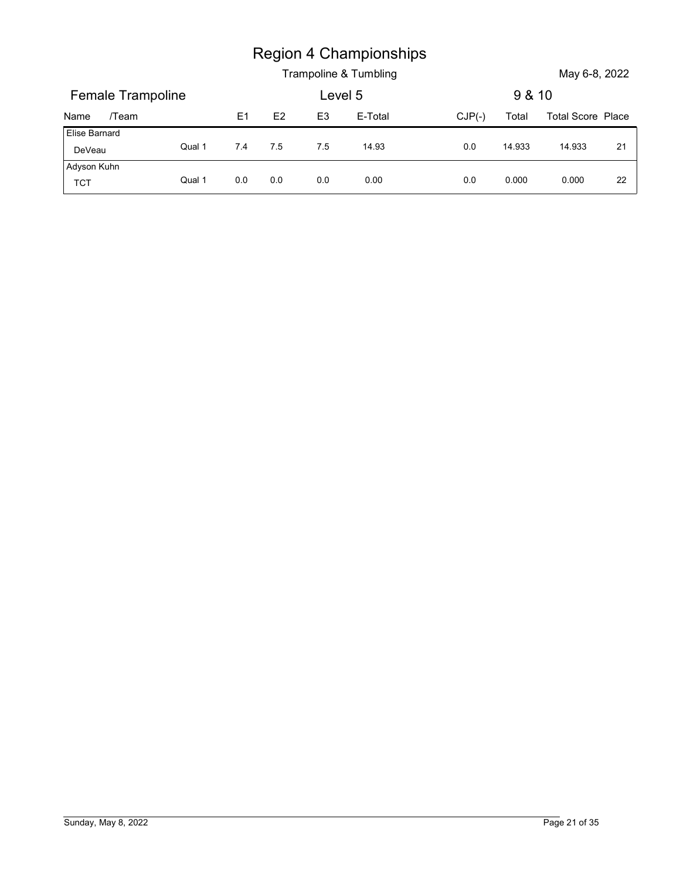|                         |        |                |       |                | <b>Region 4 Championships</b> |          |        |                          |    |
|-------------------------|--------|----------------|-------|----------------|-------------------------------|----------|--------|--------------------------|----|
|                         |        |                |       |                | Trampoline & Tumbling         |          |        | May 6-8, 2022            |    |
| Female Trampoline       |        |                |       | Level 5        |                               |          | 9 & 10 |                          |    |
| /Team<br>Name           |        | E <sub>1</sub> | E2    | E <sub>3</sub> | E-Total                       | $CJP(-)$ | Total  | <b>Total Score Place</b> |    |
| Elise Barnard<br>DeVeau | Qual 1 | 7.4            | $7.5$ | 7.5            | 14.93                         | 0.0      | 14.933 | 14.933                   | 21 |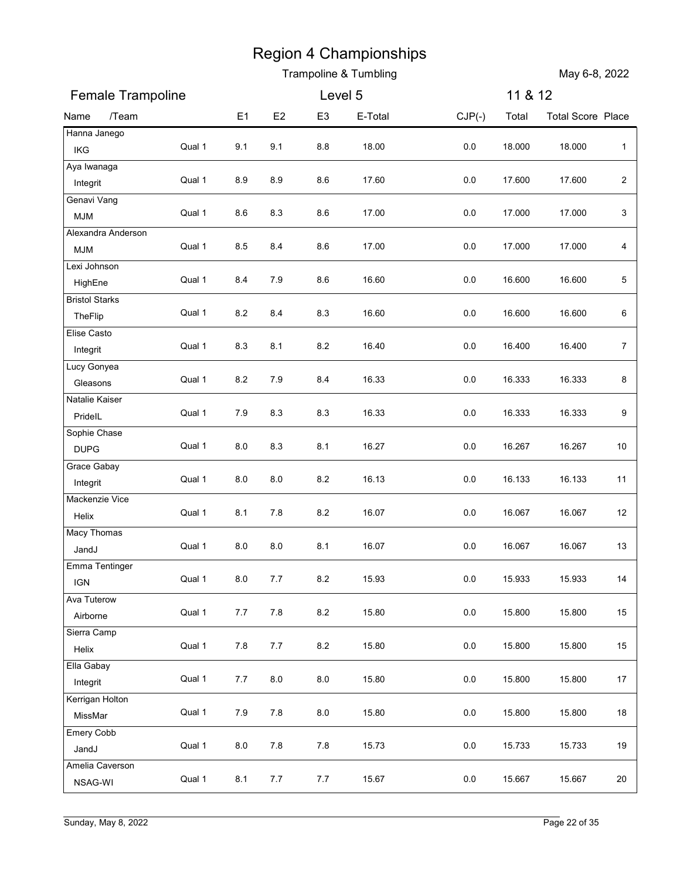|                            |        |                |         |                | Trampoline & Tumbling |          |         | May 6-8, 2022            |                |
|----------------------------|--------|----------------|---------|----------------|-----------------------|----------|---------|--------------------------|----------------|
| Female Trampoline          |        |                |         | Level 5        |                       |          | 11 & 12 |                          |                |
| /Team<br>Name              |        | E <sub>1</sub> | E2      | E <sub>3</sub> | E-Total               | $CJP(-)$ | Total   | <b>Total Score Place</b> |                |
| Hanna Janego<br>IKG        | Qual 1 | 9.1            | 9.1     | 8.8            | 18.00                 | $0.0\,$  | 18.000  | 18.000                   | $\mathbf{1}$   |
| Aya Iwanaga                |        |                |         |                |                       |          |         |                          |                |
| Integrit                   | Qual 1 | 8.9            | 8.9     | 8.6            | 17.60                 | $0.0\,$  | 17.600  | 17.600                   | $\sqrt{2}$     |
| Genavi Vang<br><b>MJM</b>  | Qual 1 | 8.6            | 8.3     | 8.6            | 17.00                 | 0.0      | 17.000  | 17.000                   | 3              |
| Alexandra Anderson         |        |                |         |                |                       |          |         |                          |                |
| <b>MJM</b>                 | Qual 1 | 8.5            | 8.4     | 8.6            | 17.00                 | 0.0      | 17.000  | 17.000                   | 4              |
| Lexi Johnson<br>HighEne    | Qual 1 | 8.4            | 7.9     | 8.6            | 16.60                 | 0.0      | 16.600  | 16.600                   | 5              |
| <b>Bristol Starks</b>      |        |                |         |                |                       |          |         |                          |                |
| TheFlip                    | Qual 1 | 8.2            | 8.4     | 8.3            | 16.60                 | 0.0      | 16.600  | 16.600                   | 6              |
| Elise Casto<br>Integrit    | Qual 1 | 8.3            | 8.1     | $8.2\,$        | 16.40                 | $0.0\,$  | 16.400  | 16.400                   | $\overline{7}$ |
| Lucy Gonyea                |        |                |         |                |                       |          |         |                          |                |
| Gleasons                   | Qual 1 | $8.2\,$        | 7.9     | 8.4            | 16.33                 | $0.0\,$  | 16.333  | 16.333                   | 8              |
| Natalie Kaiser<br>PridelL  | Qual 1 | 7.9            | 8.3     | 8.3            | 16.33                 | $0.0\,$  | 16.333  | 16.333                   | 9              |
| Sophie Chase               |        |                |         |                |                       |          |         |                          |                |
| <b>DUPG</b>                | Qual 1 | 8.0            | 8.3     | 8.1            | 16.27                 | $0.0\,$  | 16.267  | 16.267                   | 10             |
| Grace Gabay                | Qual 1 | 8.0            | $8.0\,$ | $8.2\,$        | 16.13                 | $0.0\,$  | 16.133  | 16.133                   | 11             |
| Integrit<br>Mackenzie Vice |        |                |         |                |                       |          |         |                          |                |
| Helix                      | Qual 1 | 8.1            | $7.8$   | $8.2\,$        | 16.07                 | $0.0\,$  | 16.067  | 16.067                   | 12             |
| Macy Thomas                | Qual 1 | $8.0\,$        | $8.0\,$ | 8.1            | 16.07                 | $0.0\,$  | 16.067  | 16.067                   | 13             |
| JandJ<br>Emma Tentinger    |        |                |         |                |                       |          |         |                          |                |
| <b>IGN</b>                 | Qual 1 | 8.0            | $7.7$   | $8.2\,$        | 15.93                 | $0.0\,$  | 15.933  | 15.933                   | 14             |
| Ava Tuterow                |        | 7.7            | $7.8$   |                | 15.80                 |          | 15.800  |                          | 15             |
| Airborne<br>Sierra Camp    | Qual 1 |                |         | $8.2\,$        |                       | $0.0\,$  |         | 15.800                   |                |
| Helix                      | Qual 1 | 7.8            | $7.7$   | $8.2\,$        | 15.80                 | $0.0\,$  | 15.800  | 15.800                   | 15             |
| Ella Gabay                 |        |                |         |                |                       |          |         |                          |                |
| Integrit                   | Qual 1 | 7.7            | $8.0\,$ | $8.0\,$        | 15.80                 | $0.0\,$  | 15.800  | 15.800                   | 17             |
| Kerrigan Holton<br>MissMar | Qual 1 | 7.9            | $7.8$   | $8.0\,$        | 15.80                 | $0.0\,$  | 15.800  | 15.800                   | 18             |
| Emery Cobb                 |        |                |         |                |                       |          |         |                          |                |
| JandJ                      | Qual 1 | $_{\rm 8.0}$   | $7.8$   | 7.8            | 15.73                 | $0.0\,$  | 15.733  | 15.733                   | 19             |
| Amelia Caverson<br>NSAG-WI | Qual 1 | 8.1            | $7.7$   | $7.7$          | 15.67                 | $0.0\,$  | 15.667  | 15.667                   | 20             |
|                            |        |                |         |                |                       |          |         |                          |                |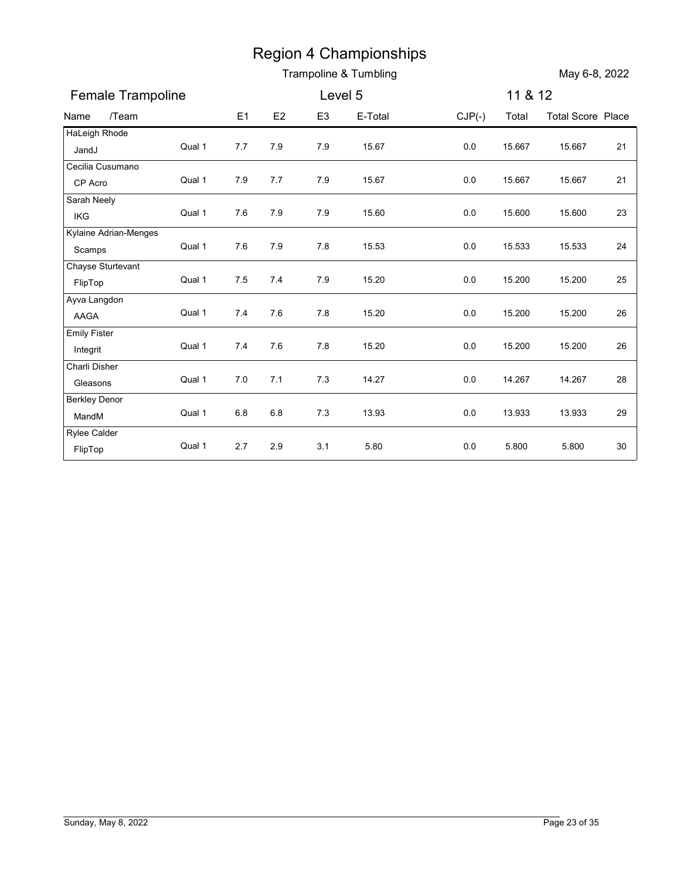|                                |        |         |         |                | <b>Region 4 Championships</b><br>Trampoline & Tumbling |          |         | May 6-8, 2022            |    |
|--------------------------------|--------|---------|---------|----------------|--------------------------------------------------------|----------|---------|--------------------------|----|
| Female Trampoline              |        |         |         | Level 5        |                                                        |          | 11 & 12 |                          |    |
| /Team<br>Name                  |        | E1      | E2      | E <sub>3</sub> | E-Total                                                | $CJP(-)$ | Total   | <b>Total Score Place</b> |    |
| HaLeigh Rhode                  |        |         |         |                |                                                        |          |         |                          |    |
| JandJ                          | Qual 1 | 7.7     | 7.9     | 7.9            | 15.67                                                  | 0.0      | 15.667  | 15.667                   | 21 |
| Cecilia Cusumano               | Qual 1 |         |         |                |                                                        |          |         |                          |    |
| CP Acro<br>Sarah Neely         |        | 7.9     | 7.7     | 7.9            | 15.67                                                  | $0.0\,$  | 15.667  | 15.667                   | 21 |
| IKG                            | Qual 1 | 7.6     | 7.9     | 7.9            | 15.60                                                  | 0.0      | 15.600  | 15.600                   | 23 |
| Kylaine Adrian-Menges          |        |         |         |                |                                                        |          |         |                          |    |
| Scamps                         | Qual 1 | 7.6     | 7.9     | 7.8            | 15.53                                                  | 0.0      | 15.533  | 15.533                   | 24 |
| Chayse Sturtevant              |        |         | 7.4     |                |                                                        |          |         |                          |    |
| FlipTop                        | Qual 1 | 7.5     |         | 7.9            | 15.20                                                  | 0.0      | 15.200  | 15.200                   | 25 |
| Ayva Langdon<br>AAGA           | Qual 1 | 7.4     | 7.6     | 7.8            | 15.20                                                  | 0.0      | 15.200  | 15.200                   | 26 |
| <b>Emily Fister</b>            |        |         |         |                |                                                        |          |         |                          |    |
| Integrit                       | Qual 1 | 7.4     | 7.6     | $7.8$          | 15.20                                                  | $0.0\,$  | 15.200  | 15.200                   | 26 |
| Charli Disher                  |        |         |         |                |                                                        |          |         |                          |    |
| Gleasons                       | Qual 1 | $7.0$   | $7.1$   | 7.3            | 14.27                                                  | $0.0\,$  | 14.267  | 14.267                   | 28 |
| <b>Berkley Denor</b>           | Qual 1 | $6.8\,$ | $6.8\,$ | $7.3$          | 13.93                                                  | $0.0\,$  | 13.933  | 13.933                   | 29 |
| MandM                          |        |         |         |                |                                                        |          |         |                          |    |
| <b>Rylee Calder</b><br>FlipTop | Qual 1 | $2.7\,$ | $2.9\,$ | 3.1            | 5.80                                                   | $0.0\,$  | 5.800   | 5.800                    | 30 |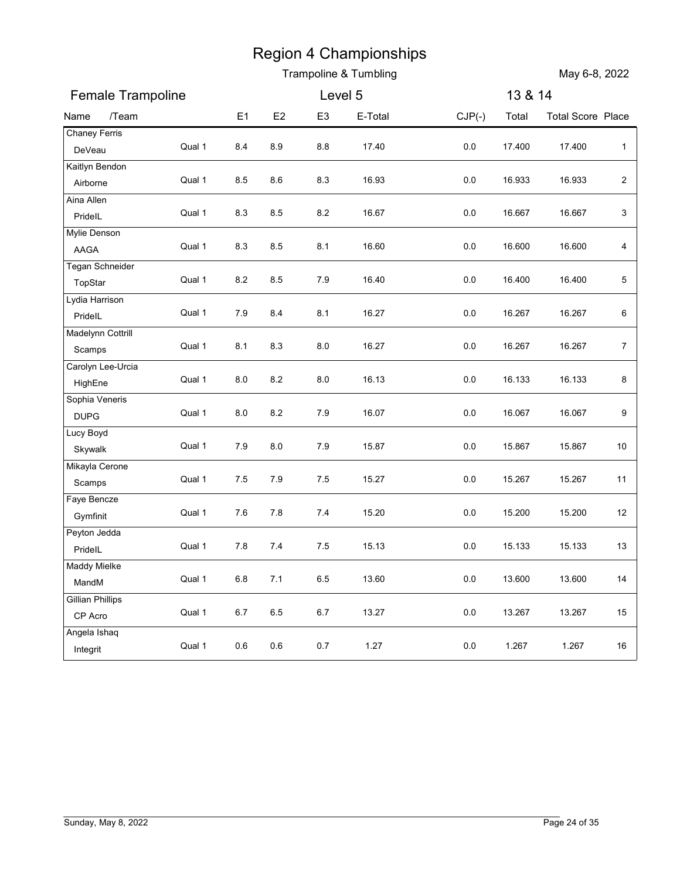|                                    |        |                |         |                | Trampoline & Tumbling |          |         | May 6-8, 2022            |                  |
|------------------------------------|--------|----------------|---------|----------------|-----------------------|----------|---------|--------------------------|------------------|
| Female Trampoline                  |        |                |         | Level 5        |                       |          | 13 & 14 |                          |                  |
| /Team<br>Name                      |        | E <sub>1</sub> | E2      | E <sub>3</sub> | E-Total               | $CJP(-)$ | Total   | <b>Total Score Place</b> |                  |
| <b>Chaney Ferris</b><br>DeVeau     | Qual 1 | 8.4            | 8.9     | 8.8            | 17.40                 | 0.0      | 17.400  | 17.400                   | $\mathbf{1}$     |
| Kaitlyn Bendon                     |        |                |         |                |                       |          |         |                          |                  |
| Airborne                           | Qual 1 | 8.5            | 8.6     | 8.3            | 16.93                 | 0.0      | 16.933  | 16.933                   | $\sqrt{2}$       |
| Aina Allen<br>PridelL              | Qual 1 | 8.3            | 8.5     | 8.2            | 16.67                 | 0.0      | 16.667  | 16.667                   | 3                |
| Mylie Denson                       |        |                |         |                |                       |          |         |                          |                  |
| AAGA                               | Qual 1 | 8.3            | 8.5     | 8.1            | 16.60                 | 0.0      | 16.600  | 16.600                   | 4                |
| Tegan Schneider                    | Qual 1 | 8.2            | 8.5     | 7.9            | 16.40                 | 0.0      | 16.400  | 16.400                   | 5                |
| TopStar<br>Lydia Harrison          |        |                |         |                |                       |          |         |                          |                  |
| PridelL                            | Qual 1 | 7.9            | 8.4     | 8.1            | 16.27                 | 0.0      | 16.267  | 16.267                   | 6                |
| Madelynn Cottrill                  |        |                |         |                |                       |          |         |                          |                  |
| Scamps                             | Qual 1 | 8.1            | 8.3     | $8.0\,$        | 16.27                 | $0.0\,$  | 16.267  | 16.267                   | $\boldsymbol{7}$ |
| Carolyn Lee-Urcia<br>HighEne       | Qual 1 | 8.0            | $8.2\,$ | 8.0            | 16.13                 | $0.0\,$  | 16.133  | 16.133                   | 8                |
| Sophia Veneris                     |        |                |         |                |                       |          |         |                          |                  |
| <b>DUPG</b>                        | Qual 1 | $_{\rm 8.0}$   | $8.2\,$ | 7.9            | 16.07                 | $0.0\,$  | 16.067  | 16.067                   | 9                |
| Lucy Boyd<br>Skywalk               | Qual 1 | 7.9            | $8.0\,$ | $7.9$          | 15.87                 | 0.0      | 15.867  | 15.867                   | 10               |
| Mikayla Cerone                     |        |                |         |                |                       |          |         |                          |                  |
| Scamps                             | Qual 1 | 7.5            | $7.9$   | $7.5$          | 15.27                 | $0.0\,$  | 15.267  | 15.267                   | 11               |
| Faye Bencze                        | Qual 1 | 7.6            | $7.8$   | 7.4            | 15.20                 | $0.0\,$  | 15.200  | 15.200                   | 12               |
| Gymfinit<br>Peyton Jedda           |        |                |         |                |                       |          |         |                          |                  |
| PridelL                            | Qual 1 | 7.8            | $7.4$   | 7.5            | 15.13                 | $0.0\,$  | 15.133  | 15.133                   | 13               |
| Maddy Mielke                       |        |                |         |                |                       |          |         |                          |                  |
| MandM                              | Qual 1 | $6.8\,$        | 7.1     | $6.5\,$        | 13.60                 | $0.0\,$  | 13.600  | 13.600                   | 14               |
| <b>Gillian Phillips</b><br>CP Acro | Qual 1 | $6.7\,$        | $6.5\,$ | $6.7\,$        | 13.27                 | $0.0\,$  | 13.267  | 13.267                   | 15               |
| Angela Ishaq                       |        |                |         |                |                       |          |         |                          |                  |
| Integrit                           | Qual 1 | $0.6\,$        | $0.6\,$ | $0.7\,$        | 1.27                  | 0.0      | 1.267   | 1.267                    | 16               |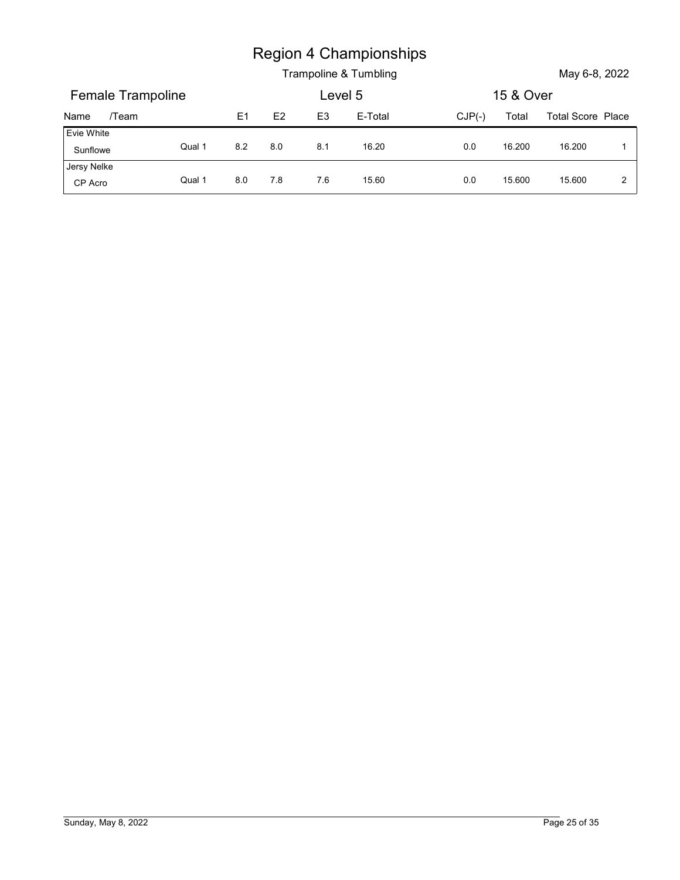|                        |        |         |         |                | <b>Region 4 Championships</b> |          |           |                   |                |
|------------------------|--------|---------|---------|----------------|-------------------------------|----------|-----------|-------------------|----------------|
|                        |        |         |         |                | Trampoline & Tumbling         |          |           | May 6-8, 2022     |                |
| Female Trampoline      |        |         |         | Level 5        |                               |          | 15 & Over |                   |                |
| /Team<br>Name          |        | E1      | E2      | E <sub>3</sub> | E-Total                       | $CJP(-)$ | Total     | Total Score Place |                |
| Evie White<br>Sunflowe | Qual 1 | $8.2\,$ | $8.0\,$ | 8.1            | 16.20                         | 0.0      | 16.200    | 16.200            | $\overline{1}$ |
| Jersy Nelke            | Qual 1 | 8.0     | 7.8     | 7.6            | 15.60                         | 0.0      | 15.600    | 15.600            | $\overline{2}$ |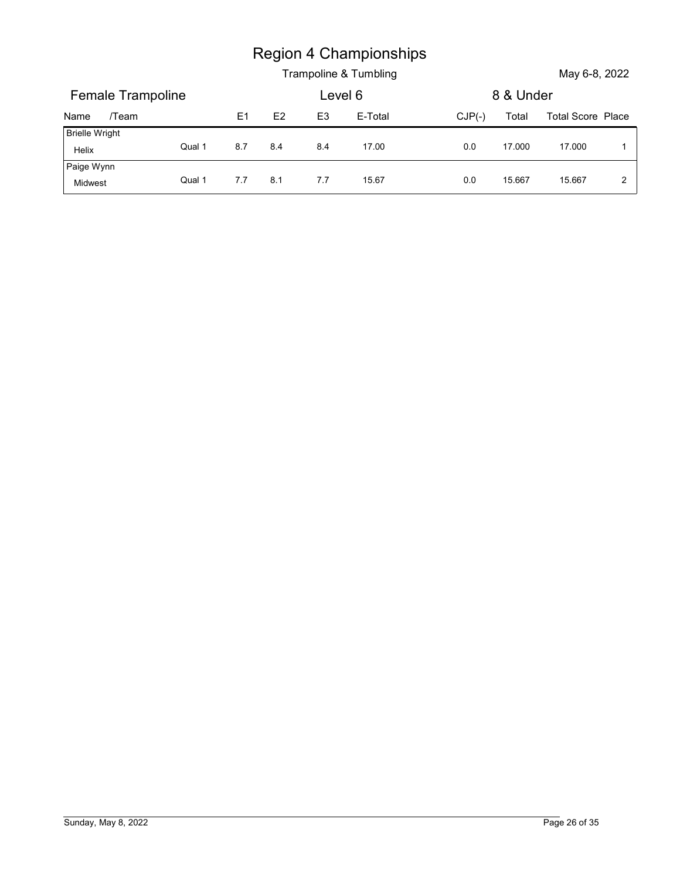|                       |        |                |     |                | <b>Region 4 Championships</b><br>Trampoline & Tumbling |          |           | May 6-8, 2022            |              |
|-----------------------|--------|----------------|-----|----------------|--------------------------------------------------------|----------|-----------|--------------------------|--------------|
| Female Trampoline     |        |                |     | Level 6        |                                                        |          | 8 & Under |                          |              |
| /Team<br>Name         |        | E <sub>1</sub> | E2  | E <sub>3</sub> | E-Total                                                | $CJP(-)$ | Total     | <b>Total Score Place</b> |              |
| <b>Brielle Wright</b> |        |                |     |                |                                                        |          |           |                          |              |
| Helix<br>Paige Wynn   | Qual 1 | 8.7            | 8.4 | 8.4            | 17.00                                                  | 0.0      | 17.000    | 17.000                   | $\mathbf{1}$ |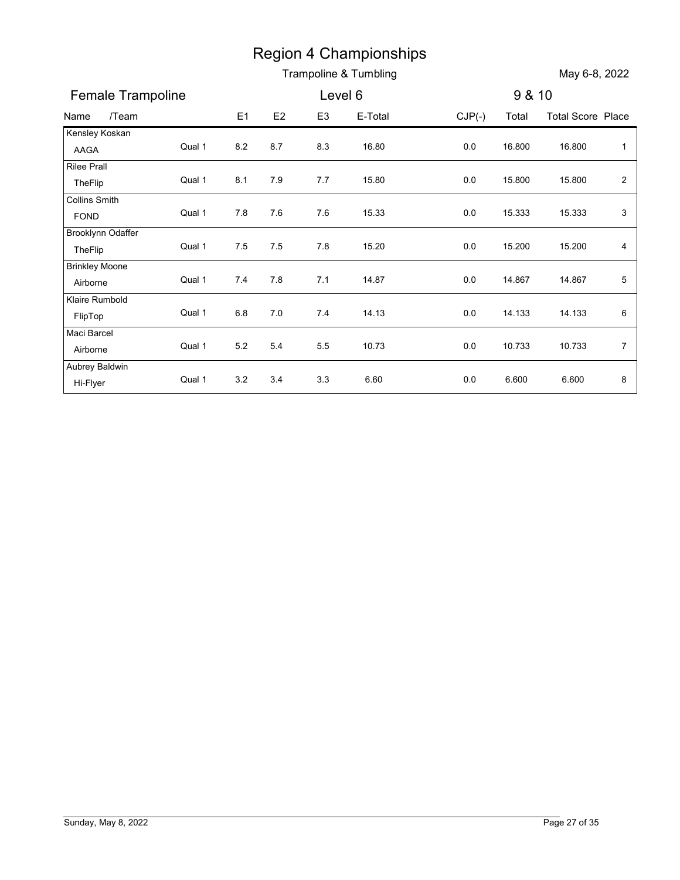|                                     |        |         |       |                | <b>Region 4 Championships</b><br>Trampoline & Tumbling |          |        | May 6-8, 2022            |                         |
|-------------------------------------|--------|---------|-------|----------------|--------------------------------------------------------|----------|--------|--------------------------|-------------------------|
| Female Trampoline                   |        |         |       | Level 6        |                                                        |          | 9 & 10 |                          |                         |
| /Team<br>Name                       |        | E1      | E2    | E <sub>3</sub> | E-Total                                                | $CJP(-)$ | Total  | <b>Total Score Place</b> |                         |
| Kensley Koskan                      |        |         |       |                |                                                        |          |        |                          |                         |
| AAGA                                | Qual 1 | 8.2     | 8.7   | 8.3            | 16.80                                                  | 0.0      | 16.800 | 16.800                   | $\mathbf{1}$            |
| <b>Rilee Prall</b><br>TheFlip       | Qual 1 | 8.1     | 7.9   | 7.7            | 15.80                                                  | 0.0      | 15.800 | 15.800                   | $\overline{\mathbf{c}}$ |
| <b>Collins Smith</b><br><b>FOND</b> | Qual 1 | 7.8     | 7.6   | 7.6            | 15.33                                                  | 0.0      | 15.333 | 15.333                   | 3                       |
| Brooklynn Odaffer<br>TheFlip        | Qual 1 | 7.5     | 7.5   | 7.8            | 15.20                                                  | 0.0      | 15.200 | 15.200                   | 4                       |
| <b>Brinkley Moone</b>               |        |         |       |                |                                                        |          |        |                          |                         |
| Airborne                            | Qual 1 | 7.4     | 7.8   | 7.1            | 14.87                                                  | 0.0      | 14.867 | 14.867                   | 5                       |
| Klaire Rumbold                      | Qual 1 | 6.8     | 7.0   | 7.4            | 14.13                                                  | 0.0      | 14.133 | 14.133                   | 6                       |
| FlipTop<br>Maci Barcel              |        |         |       |                |                                                        |          |        |                          |                         |
| Airborne                            | Qual 1 | $5.2\,$ | $5.4$ | $5.5\,$        | 10.73                                                  | $0.0\,$  | 10.733 | 10.733                   | $\bf 7$                 |
| Aubrey Baldwin                      |        |         |       |                |                                                        |          |        |                          |                         |
| Hi-Flyer                            | Qual 1 | 3.2     | 3.4   | 3.3            | 6.60                                                   | $0.0\,$  | 6.600  | 6.600                    | 8                       |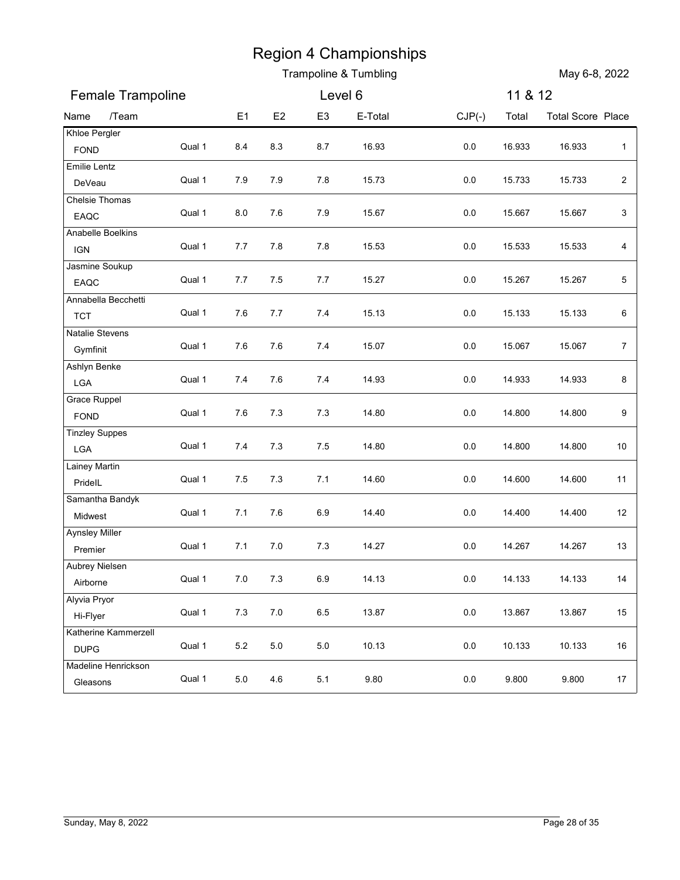|                                     |        |         |         |                | Trampoline & Tumbling |          |         | May 6-8, 2022            |                  |
|-------------------------------------|--------|---------|---------|----------------|-----------------------|----------|---------|--------------------------|------------------|
| Female Trampoline                   |        |         |         | Level 6        |                       |          | 11 & 12 |                          |                  |
| /Team<br>Name                       |        | E1      | E2      | E <sub>3</sub> | E-Total               | $CJP(-)$ | Total   | <b>Total Score Place</b> |                  |
| Khloe Pergler                       | Qual 1 | 8.4     | 8.3     | 8.7            | 16.93                 | $0.0\,$  | 16.933  | 16.933                   | $\mathbf{1}$     |
| <b>FOND</b><br>Emilie Lentz         |        |         |         |                |                       |          |         |                          |                  |
| DeVeau                              | Qual 1 | 7.9     | 7.9     | 7.8            | 15.73                 | 0.0      | 15.733  | 15.733                   | $\sqrt{2}$       |
| Chelsie Thomas                      |        |         |         |                |                       |          |         |                          |                  |
| EAQC<br>Anabelle Boelkins           | Qual 1 | 8.0     | 7.6     | 7.9            | 15.67                 | 0.0      | 15.667  | 15.667                   | 3                |
| <b>IGN</b>                          | Qual 1 | 7.7     | 7.8     | 7.8            | 15.53                 | 0.0      | 15.533  | 15.533                   | 4                |
| Jasmine Soukup<br>EAQC              | Qual 1 | 7.7     | 7.5     | 7.7            | 15.27                 | 0.0      | 15.267  | 15.267                   | $\sqrt{5}$       |
| Annabella Becchetti                 |        |         |         |                |                       |          |         |                          |                  |
| <b>TCT</b>                          | Qual 1 | 7.6     | 7.7     | 7.4            | 15.13                 | 0.0      | 15.133  | 15.133                   | 6                |
| <b>Natalie Stevens</b>              | Qual 1 | $7.6\,$ | $7.6\,$ | 7.4            | 15.07                 | 0.0      | 15.067  |                          | $\boldsymbol{7}$ |
| Gymfinit<br>Ashlyn Benke            |        |         |         |                |                       |          |         | 15.067                   |                  |
| LGA                                 | Qual 1 | 7.4     | 7.6     | 7.4            | 14.93                 | 0.0      | 14.933  | 14.933                   | $\bf 8$          |
| <b>Grace Ruppel</b>                 |        |         |         |                |                       |          |         |                          |                  |
| FOND                                | Qual 1 | $7.6\,$ | $7.3$   | 7.3            | 14.80                 | 0.0      | 14.800  | 14.800                   | 9                |
| <b>Tinzley Suppes</b>               | Qual 1 | 7.4     | $7.3$   | 7.5            | 14.80                 | 0.0      | 14.800  | 14.800                   | 10               |
| LGA<br>Lainey Martin                |        |         |         |                |                       |          |         |                          |                  |
| PridelL                             | Qual 1 | $7.5\,$ | $7.3$   | 7.1            | 14.60                 | $0.0\,$  | 14.600  | 14.600                   | 11               |
| Samantha Bandyk                     |        |         |         |                |                       |          |         |                          |                  |
| Midwest                             | Qual 1 | 7.1     | 7.6     | $6.9\,$        | 14.40                 | $0.0\,$  | 14.400  | 14.400                   | 12               |
| <b>Aynsley Miller</b>               | Qual 1 | 7.1     | $7.0\,$ | $7.3$          | 14.27                 | $0.0\,$  | 14.267  | 14.267                   | 13               |
| Premier<br>Aubrey Nielsen           |        |         |         |                |                       |          |         |                          |                  |
| Airborne                            | Qual 1 | $7.0\,$ | $7.3$   | 6.9            | 14.13                 | 0.0      | 14.133  | 14.133                   | 14               |
| Alyvia Pryor                        |        |         |         |                |                       |          |         |                          |                  |
| Hi-Flyer                            | Qual 1 | $7.3$   | $7.0\,$ | 6.5            | 13.87                 | $0.0\,$  | 13.867  | 13.867                   | 15               |
| Katherine Kammerzell<br><b>DUPG</b> | Qual 1 | $5.2\,$ | $5.0\,$ | $5.0\,$        | 10.13                 | $0.0\,$  | 10.133  | 10.133                   | 16               |
| Madeline Henrickson                 |        |         |         |                |                       |          |         |                          |                  |
| Gleasons                            | Qual 1 | $5.0\,$ | 4.6     | 5.1            | 9.80                  | $0.0\,$  | 9.800   | 9.800                    | 17               |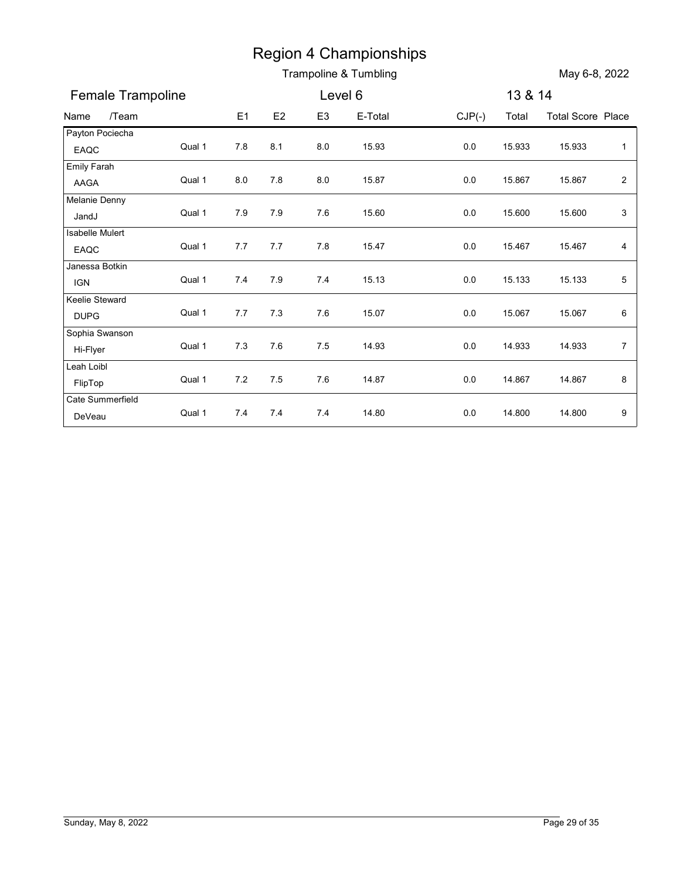|                               |        |                |     |                | <b>Region 4 Championships</b> |          |         |                          |                         |
|-------------------------------|--------|----------------|-----|----------------|-------------------------------|----------|---------|--------------------------|-------------------------|
|                               |        |                |     |                | Trampoline & Tumbling         |          |         | May 6-8, 2022            |                         |
| Female Trampoline             |        |                |     | Level 6        |                               |          | 13 & 14 |                          |                         |
| /Team<br>Name                 |        | E <sub>1</sub> | E2  | E <sub>3</sub> | E-Total                       | $CJP(-)$ | Total   | <b>Total Score Place</b> |                         |
| Payton Pociecha<br>EAQC       | Qual 1 | 7.8            | 8.1 | 8.0            | 15.93                         | $0.0\,$  | 15.933  | 15.933                   | $\mathbf{1}$            |
| Emily Farah<br>AAGA           | Qual 1 | 8.0            | 7.8 | $8.0\,$        | 15.87                         | $0.0\,$  | 15.867  | 15.867                   | $\overline{\mathbf{c}}$ |
| Melanie Denny<br>JandJ        | Qual 1 | 7.9            | 7.9 | 7.6            | 15.60                         | 0.0      | 15.600  | 15.600                   | 3                       |
| Isabelle Mulert<br>EAQC       | Qual 1 | 7.7            | 7.7 | 7.8            | 15.47                         | 0.0      | 15.467  | 15.467                   | 4                       |
| Janessa Botkin<br><b>IGN</b>  | Qual 1 | 7.4            | 7.9 | 7.4            | 15.13                         | 0.0      | 15.133  | 15.133                   | 5                       |
| Keelie Steward<br><b>DUPG</b> | Qual 1 | 7.7            | 7.3 | 7.6            | 15.07                         | 0.0      | 15.067  | 15.067                   | 6                       |
| Sophia Swanson<br>Hi-Flyer    | Qual 1 | $7.3$          | 7.6 | $7.5$          | 14.93                         | $0.0\,$  | 14.933  | 14.933                   | $\overline{7}$          |
| Leah Loibl<br>FlipTop         | Qual 1 | 7.2            | 7.5 | 7.6            | 14.87                         | $0.0\,$  | 14.867  | 14.867                   | 8                       |
| Cate Summerfield<br>DeVeau    | Qual 1 | 7.4            | 7.4 | 7.4            | 14.80                         | 0.0      | 14.800  | 14.800                   | 9                       |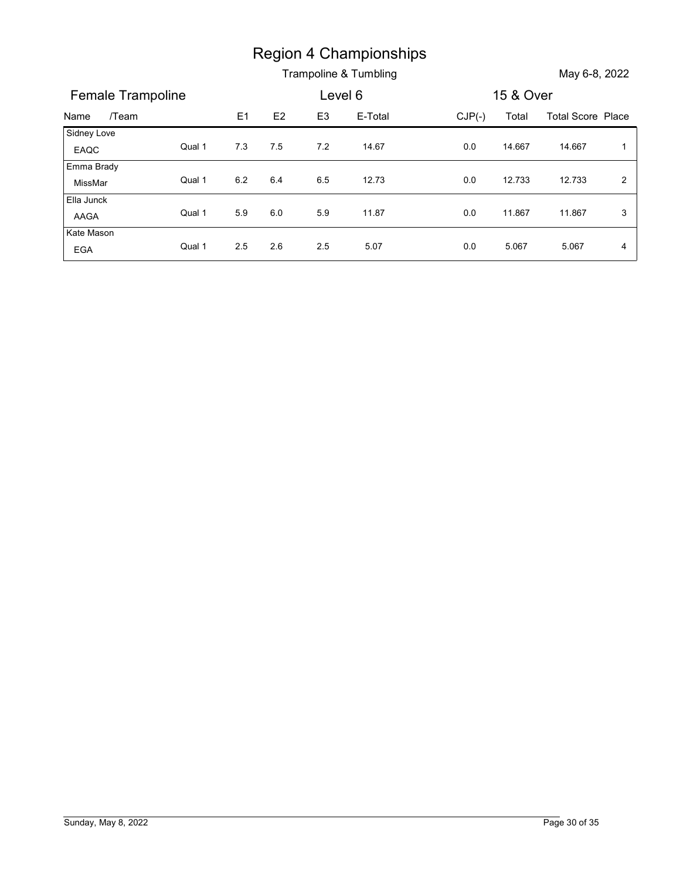|                       |        |                |                |                | <b>Region 4 Championships</b> |          |        |                          |                |
|-----------------------|--------|----------------|----------------|----------------|-------------------------------|----------|--------|--------------------------|----------------|
|                       |        |                |                |                | Trampoline & Tumbling         |          |        | May 6-8, 2022            |                |
| Female Trampoline     |        | Level 6        |                |                | 15 & Over                     |          |        |                          |                |
| /Team<br>Name         |        | E <sub>1</sub> | E <sub>2</sub> | E <sub>3</sub> | E-Total                       | $CJP(-)$ | Total  | <b>Total Score Place</b> |                |
| Sidney Love           | Qual 1 | $7.3$          | 7.5            | $7.2\,$        | 14.67                         | $0.0\,$  | 14.667 | 14.667                   | $\overline{1}$ |
| EAQC                  |        |                |                |                |                               |          |        |                          |                |
| Emma Brady            |        |                |                |                |                               |          |        |                          |                |
| MissMar<br>Ella Junck | Qual 1 | $6.2\,$        | 6.4            | 6.5            | 12.73                         | $0.0\,$  | 12.733 | 12.733                   | $\overline{2}$ |
| AAGA                  | Qual 1 | 5.9            | $6.0\,$        | 5.9            | 11.87                         | $0.0\,$  | 11.867 | 11.867                   | $\mathbf{3}$   |
| Kate Mason            | Qual 1 | $2.5\,$        | 2.6            | 2.5            | 5.07                          | $0.0\,$  | 5.067  | 5.067                    | $\overline{4}$ |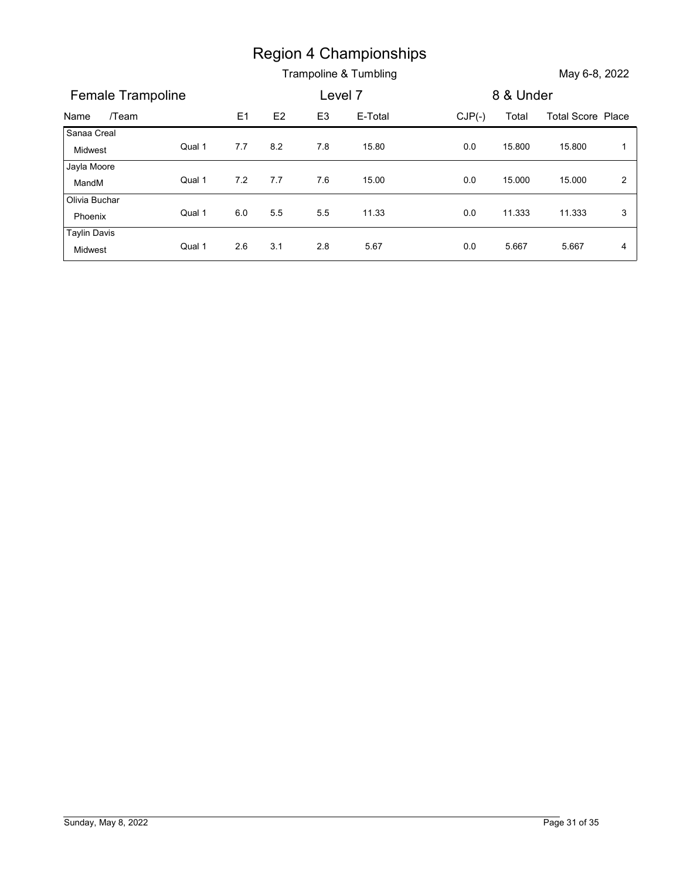|                          |        |         |     |                | <b>Region 4 Championships</b> |          |           |                          |                |
|--------------------------|--------|---------|-----|----------------|-------------------------------|----------|-----------|--------------------------|----------------|
|                          |        |         |     |                |                               |          |           |                          |                |
|                          |        |         |     |                |                               |          |           |                          |                |
| Female Trampoline        |        |         |     | Level 7        | Trampoline & Tumbling         |          | 8 & Under | May 6-8, 2022            |                |
| /Team<br>Name            |        | E1      | E2  | E <sub>3</sub> | E-Total                       | $CJP(-)$ | Total     | <b>Total Score Place</b> |                |
| Sanaa Creal<br>Midwest   | Qual 1 | 7.7     | 8.2 | 7.8            | 15.80                         | $0.0\,$  | 15.800    | 15.800                   | $\overline{1}$ |
| Jayla Moore<br>MandM     | Qual 1 | $7.2$   | 7.7 | 7.6            | 15.00                         | 0.0      | 15.000    | 15.000                   | $\overline{a}$ |
| Olivia Buchar<br>Phoenix | Qual 1 | $6.0\,$ | 5.5 | $5.5\,$        | 11.33                         | $0.0\,$  | 11.333    | 11.333                   | 3              |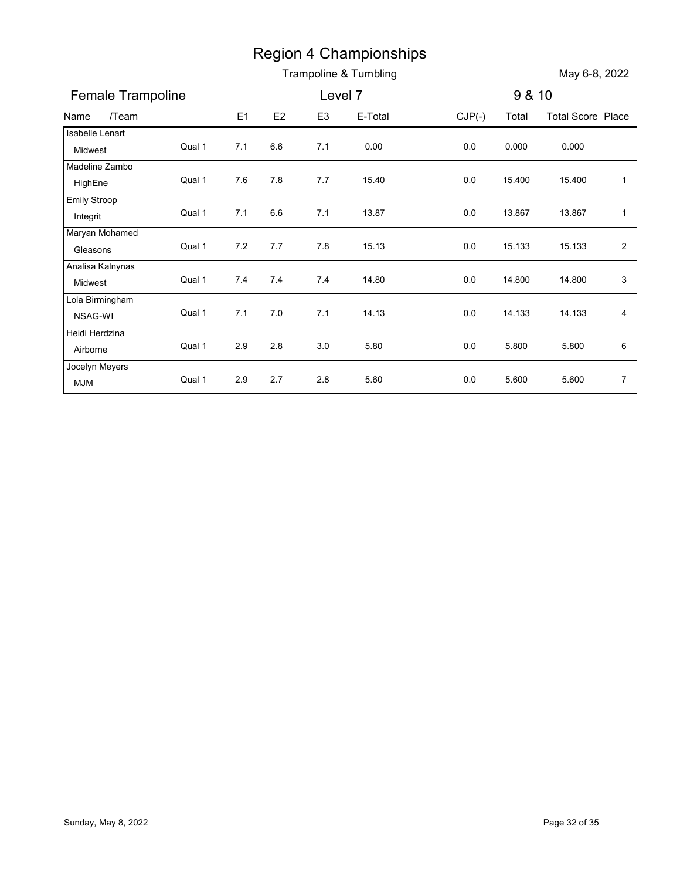|                                                                                              |        |         |         |                | <b>Region 4 Championships</b><br>Trampoline & Tumbling |          |        | May 6-8, 2022            |                |
|----------------------------------------------------------------------------------------------|--------|---------|---------|----------------|--------------------------------------------------------|----------|--------|--------------------------|----------------|
| Female Trampoline                                                                            |        |         |         | Level 7        |                                                        |          | 9 & 10 |                          |                |
|                                                                                              |        |         |         |                |                                                        |          |        |                          |                |
| /Team<br>Name                                                                                |        | E1      | E2      | E <sub>3</sub> | E-Total                                                | $CJP(-)$ | Total  | <b>Total Score Place</b> |                |
| Isabelle Lenart<br>Midwest                                                                   | Qual 1 | 7.1     | $6.6\,$ | 7.1            | 0.00                                                   | 0.0      | 0.000  | 0.000                    |                |
| Madeline Zambo<br>HighEne                                                                    | Qual 1 | 7.6     | 7.8     | 7.7            | 15.40                                                  | 0.0      | 15.400 | 15.400                   | $\mathbf{1}$   |
| <b>Emily Stroop</b><br>Integrit                                                              | Qual 1 | 7.1     | $6.6\,$ | 7.1            | 13.87                                                  | 0.0      | 13.867 | 13.867                   | $\mathbf{1}$   |
| Maryan Mohamed<br>Gleasons                                                                   | Qual 1 | 7.2     | 7.7     | 7.8            | 15.13                                                  | 0.0      | 15.133 | 15.133                   | $\overline{a}$ |
| Analisa Kalnynas                                                                             |        |         |         |                |                                                        |          |        |                          |                |
| Midwest                                                                                      | Qual 1 | 7.4     | 7.4     | 7.4            | 14.80                                                  | 0.0      | 14.800 | 14.800                   | 3              |
| Lola Birmingham                                                                              |        |         |         |                |                                                        |          |        |                          |                |
| NSAG-WI                                                                                      | Qual 1 | 7.1     | 7.0     | 7.1            | 14.13                                                  | 0.0      | 14.133 | 14.133                   | 4              |
| Heidi Herdzina<br>Airborne                                                                   | Qual 1 | $2.9\,$ | $2.8\,$ | 3.0            | 5.80                                                   | $0.0\,$  | 5.800  | 5.800                    | 6              |
| Jocelyn Meyers                                                                               |        |         |         |                |                                                        |          |        |                          |                |
| $\ensuremath{\mathsf{M}}\xspace\ensuremath{\mathsf{J}}\xspace\ensuremath{\mathsf{M}}\xspace$ | Qual 1 | $2.9\,$ | 2.7     | $2.8\,$        | 5.60                                                   | 0.0      | 5.600  | 5.600                    | $\overline{7}$ |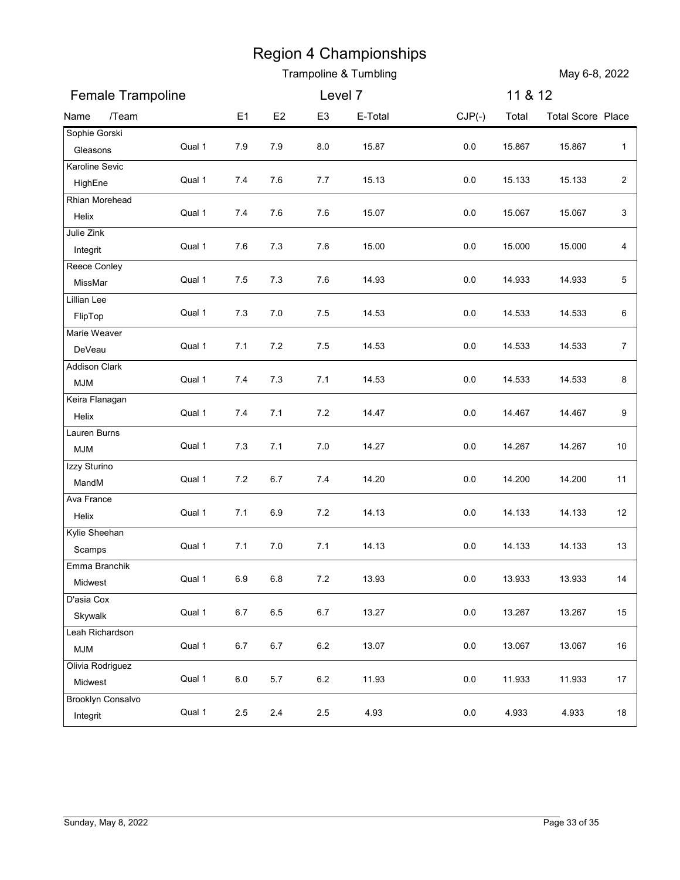|                               |        |                |         |                | <b>Region 4 Championships</b><br>Trampoline & Tumbling |          |         | May 6-8, 2022            |                  |
|-------------------------------|--------|----------------|---------|----------------|--------------------------------------------------------|----------|---------|--------------------------|------------------|
| Female Trampoline             |        |                |         | Level 7        |                                                        |          | 11 & 12 |                          |                  |
| /Team<br>Name                 |        | E <sub>1</sub> | E2      | E <sub>3</sub> | E-Total                                                | $CJP(-)$ | Total   | <b>Total Score Place</b> |                  |
| Sophie Gorski<br>Gleasons     | Qual 1 | 7.9            | 7.9     | 8.0            | 15.87                                                  | $0.0\,$  | 15.867  | 15.867                   | $\mathbf{1}$     |
| Karoline Sevic                |        |                |         |                |                                                        |          |         |                          |                  |
| HighEne                       | Qual 1 | 7.4            | 7.6     | 7.7            | 15.13                                                  | 0.0      | 15.133  | 15.133                   | $\sqrt{2}$       |
| Rhian Morehead                | Qual 1 | 7.4            | 7.6     | 7.6            | 15.07                                                  | 0.0      | 15.067  | 15.067                   | $\mathbf{3}$     |
| Helix<br>Julie Zink           |        |                |         |                |                                                        |          |         |                          |                  |
| Integrit                      | Qual 1 | 7.6            | 7.3     | 7.6            | 15.00                                                  | 0.0      | 15.000  | 15.000                   | 4                |
| Reece Conley                  | Qual 1 | 7.5            | 7.3     | 7.6            | 14.93                                                  | 0.0      | 14.933  | 14.933                   | 5                |
| MissMar<br>Lillian Lee        |        |                |         |                |                                                        |          |         |                          |                  |
| FlipTop                       | Qual 1 | 7.3            | 7.0     | 7.5            | 14.53                                                  | 0.0      | 14.533  | 14.533                   | 6                |
| Marie Weaver                  |        |                |         |                |                                                        |          |         |                          |                  |
| DeVeau                        | Qual 1 | $7.1$          | $7.2\,$ | $7.5\,$        | 14.53                                                  | 0.0      | 14.533  | 14.533                   | $\boldsymbol{7}$ |
| <b>Addison Clark</b><br>MJM   | Qual 1 | 7.4            | 7.3     | 7.1            | 14.53                                                  | 0.0      | 14.533  | 14.533                   | $\bf 8$          |
| Keira Flanagan                |        |                |         |                |                                                        |          |         |                          |                  |
| Helix                         | Qual 1 | $7.4$          | 7.1     | 7.2            | 14.47                                                  | 0.0      | 14.467  | 14.467                   | 9                |
| Lauren Burns                  | Qual 1 | $7.3$          | 7.1     | 7.0            | 14.27                                                  | 0.0      | 14.267  | 14.267                   | 10               |
| <b>MJM</b><br>Izzy Sturino    |        |                |         |                |                                                        |          |         |                          |                  |
| MandM                         | Qual 1 | $7.2\,$        | $6.7\,$ | 7.4            | 14.20                                                  | $0.0\,$  | 14.200  | 14.200                   | 11               |
| Ava France                    |        |                |         |                |                                                        |          |         |                          |                  |
| Helix                         | Qual 1 | 7.1            | 6.9     | $7.2\,$        | 14.13                                                  | 0.0      | 14.133  | 14.133                   | 12               |
| Kylie Sheehan<br>Scamps       | Qual 1 | 7.1            | $7.0\,$ | 7.1            | 14.13                                                  | $0.0\,$  | 14.133  | 14.133                   | 13               |
| Emma Branchik                 |        |                |         |                |                                                        |          |         |                          |                  |
| Midwest                       | Qual 1 | 6.9            | $6.8\,$ | $7.2\,$        | 13.93                                                  | 0.0      | 13.933  | 13.933                   | 14               |
| D'asia Cox                    |        |                |         |                |                                                        |          |         |                          |                  |
| Skywalk                       | Qual 1 | $6.7\,$        | 6.5     | $6.7\,$        | 13.27                                                  | $0.0\,$  | 13.267  | 13.267                   | 15               |
| Leah Richardson<br><b>MJM</b> | Qual 1 | $6.7\,$        | $6.7\,$ | $6.2\,$        | 13.07                                                  | $0.0\,$  | 13.067  | 13.067                   | 16               |
| Olivia Rodriguez              |        |                |         |                |                                                        |          |         |                          |                  |
| Midwest                       | Qual 1 | $6.0\,$        | $5.7\,$ | $6.2\,$        | 11.93                                                  | $0.0\,$  | 11.933  | 11.933                   | 17               |
| <b>Brooklyn Consalvo</b>      |        |                |         |                |                                                        |          |         |                          |                  |
| Integrit                      | Qual 1 | $2.5\,$        | $2.4\,$ | $2.5\,$        | 4.93                                                   | $0.0\,$  | 4.933   | 4.933                    | 18               |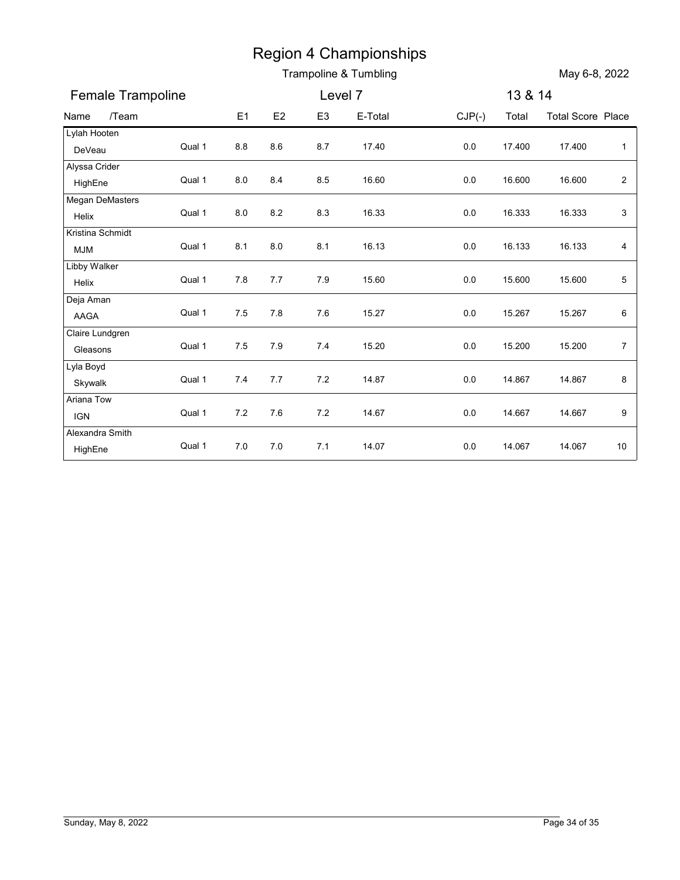|                                |        |         |       |                | <b>Region 4 Championships</b><br>Trampoline & Tumbling |          |         | May 6-8, 2022            |                         |
|--------------------------------|--------|---------|-------|----------------|--------------------------------------------------------|----------|---------|--------------------------|-------------------------|
| Female Trampoline              |        |         |       | Level 7        |                                                        |          | 13 & 14 |                          |                         |
| /Team<br>Name                  |        | E1      | E2    | E <sub>3</sub> | E-Total                                                | $CJP(-)$ | Total   | <b>Total Score Place</b> |                         |
| Lylah Hooten<br>DeVeau         | Qual 1 | 8.8     | 8.6   | 8.7            | 17.40                                                  | 0.0      | 17.400  | 17.400                   | $\mathbf{1}$            |
| Alyssa Crider<br>HighEne       | Qual 1 | 8.0     | 8.4   | 8.5            | 16.60                                                  | 0.0      | 16.600  | 16.600                   | $\overline{\mathbf{c}}$ |
| Megan DeMasters<br>Helix       | Qual 1 | 8.0     | 8.2   | 8.3            | 16.33                                                  | 0.0      | 16.333  | 16.333                   | 3                       |
| Kristina Schmidt<br><b>MJM</b> | Qual 1 | 8.1     | 8.0   | 8.1            | 16.13                                                  | 0.0      | 16.133  | 16.133                   | 4                       |
| Libby Walker<br>Helix          | Qual 1 | 7.8     | 7.7   | 7.9            | 15.60                                                  | 0.0      | 15.600  | 15.600                   | 5                       |
| Deja Aman<br>AAGA              | Qual 1 | 7.5     | 7.8   | 7.6            | 15.27                                                  | 0.0      | 15.267  | 15.267                   | 6                       |
| Claire Lundgren<br>Gleasons    | Qual 1 | $7.5$   | 7.9   | 7.4            | 15.20                                                  | $0.0\,$  | 15.200  | 15.200                   | $\overline{7}$          |
| Lyla Boyd<br>Skywalk           | Qual 1 | $7.4$   | $7.7$ | 7.2            | 14.87                                                  | $0.0\,$  | 14.867  | 14.867                   | 8                       |
| Ariana Tow<br><b>IGN</b>       | Qual 1 | $7.2$   | 7.6   | 7.2            | 14.67                                                  | $0.0\,$  | 14.667  | 14.667                   | 9                       |
| Alexandra Smith<br>HighEne     | Qual 1 | $7.0\,$ | $7.0$ | 7.1            | 14.07                                                  | 0.0      | 14.067  | 14.067                   | 10                      |